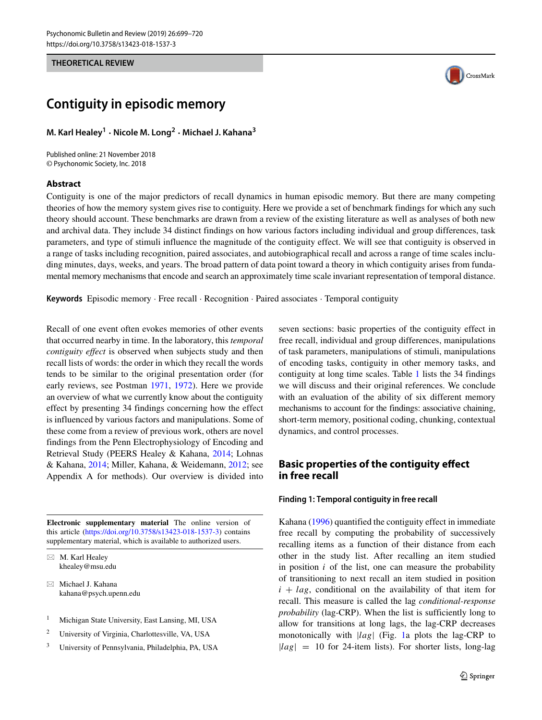### **THEORETICAL REVIEW**



# **Contiguity in episodic memory**

**M. Karl Healey<sup>1</sup> · Nicole M. Long<sup>2</sup> · Michael J. Kahana<sup>3</sup>**

Published online: 21 November 2018 © Psychonomic Society, Inc. 2018

# **Abstract**

Contiguity is one of the major predictors of recall dynamics in human episodic memory. But there are many competing theories of how the memory system gives rise to contiguity. Here we provide a set of benchmark findings for which any such theory should account. These benchmarks are drawn from a review of the existing literature as well as analyses of both new and archival data. They include 34 distinct findings on how various factors including individual and group differences, task parameters, and type of stimuli influence the magnitude of the contiguity effect. We will see that contiguity is observed in a range of tasks including recognition, paired associates, and autobiographical recall and across a range of time scales including minutes, days, weeks, and years. The broad pattern of data point toward a theory in which contiguity arises from fundamental memory mechanisms that encode and search an approximately time scale invariant representation of temporal distance.

**Keywords** Episodic memory · Free recall · Recognition · Paired associates · Temporal contiguity

Recall of one event often evokes memories of other events that occurred nearby in time. In the laboratory, this *temporal contiguity effect* is observed when subjects study and then recall lists of words: the order in which they recall the words tends to be similar to the original presentation order (for early reviews, see Postman [1971,](#page-20-0) [1972\)](#page-20-1). Here we provide an overview of what we currently know about the contiguity effect by presenting 34 findings concerning how the effect is influenced by various factors and manipulations. Some of these come from a review of previous work, others are novel findings from the Penn Electrophysiology of Encoding and Retrieval Study (PEERS Healey & Kahana, [2014;](#page-19-0) Lohnas & Kahana, [2014;](#page-20-2) Miller, Kahana, & Weidemann, [2012;](#page-20-3) see Appendix A for methods). Our overview is divided into

**Electronic supplementary material** The online version of this article [\(https://doi.org/10.3758/s13423-018-1537-3\)](https://doi.org/10.3758/s13423-018-1537-3) contains supplementary material, which is available to authorized users.

 $\boxtimes$  M. Karl Healey [khealey@msu.edu](mailto: khealey@msu.edu)

- Michael J. Kahana [kahana@psych.upenn.edu](mailto: kahana@psych.upenn.edu)

- <sup>1</sup> Michigan State University, East Lansing, MI, USA
- <sup>2</sup> University of Virginia, Charlottesville, VA, USA
- <sup>3</sup> University of Pennsylvania, Philadelphia, PA, USA

seven sections: basic properties of the contiguity effect in free recall, individual and group differences, manipulations of task parameters, manipulations of stimuli, manipulations of encoding tasks, contiguity in other memory tasks, and contiguity at long time scales. Table [1](#page-1-0) lists the 34 findings we will discuss and their original references. We conclude with an evaluation of the ability of six different memory mechanisms to account for the findings: associative chaining, short-term memory, positional coding, chunking, contextual dynamics, and control processes.

# **Basic properties of the contiguity effect in free recall**

# **Finding 1: Temporal contiguity in free recall**

Kahana [\(1996\)](#page-19-1) quantified the contiguity effect in immediate free recall by computing the probability of successively recalling items as a function of their distance from each other in the study list. After recalling an item studied in position  $i$  of the list, one can measure the probability of transitioning to next recall an item studied in position  $i + lag$ , conditional on the availability of that item for recall. This measure is called the lag *conditional-response probability* (lag-CRP). When the list is sufficiently long to allow for transitions at long lags, the lag-CRP decreases monotonically with |*lag*| (Fig. [1a](#page-2-0) plots the lag-CRP to  $|lag| = 10$  for 24-item lists). For shorter lists, long-lag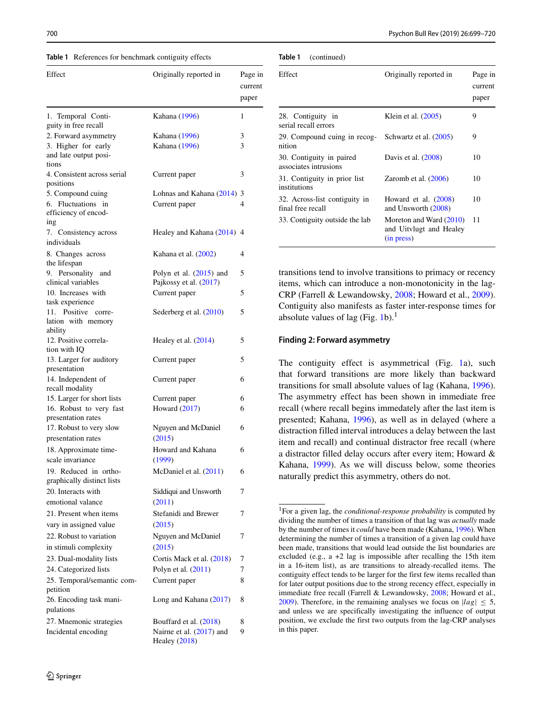<span id="page-1-0"></span>**Table 1** References for benchmark contiguity effects

| Effect                                                                 | Originally reported in                              | Page in<br>current<br>paper |  |
|------------------------------------------------------------------------|-----------------------------------------------------|-----------------------------|--|
| 1. Temporal Conti-<br>guity in free recall                             | Kahana (1996)                                       |                             |  |
| 2. Forward asymmetry<br>3. Higher for early                            | Kahana (1996)<br>Kahana (1996)                      | 3<br>3                      |  |
| and late output posi-<br>tions                                         |                                                     |                             |  |
| 4. Consistent across serial<br>positions                               | Current paper                                       | 3                           |  |
| 5. Compound cuing<br>6. Fluctuations in<br>efficiency of encod-<br>ıng | Lohnas and Kahana (2014)<br>Current paper           | 3<br>4                      |  |
| 7. Consistency across<br>individuals                                   | Healey and Kahana (2014) 4                          |                             |  |
| 8. Changes across<br>the lifespan                                      | Kahana et al. (2002)                                | 4                           |  |
| 9. Personality and<br>clinical variables                               | Polyn et al. $(2015)$ and<br>Pajkossy et al. (2017) | 5                           |  |
| 10. Increases with<br>task experience                                  | Current paper                                       | 5                           |  |
| 11. Positive corre-<br>lation with memory<br>ability                   | Sederberg et al. (2010)                             | 5                           |  |
| 12. Positive correla-<br>tion with IQ                                  | Healey et al. $(2014)$                              | 5                           |  |
| 13. Larger for auditory<br>presentation                                | Current paper                                       | 5                           |  |
| 14. Independent of<br>recall modality                                  | Current paper                                       | 6                           |  |
| 15. Larger for short lists                                             | Current paper                                       | 6                           |  |
| 16. Robust to very fast<br>presentation rates                          | Howard $(2017)$                                     | 6                           |  |
| 17. Robust to very slow<br>presentation rates                          | Nguyen and McDaniel<br>(2015)                       | 6                           |  |
| 18. Approximate time-<br>scale invariance                              | Howard and Kahana<br>(1999)                         | 6                           |  |
| 19. Reduced in ortho-<br>graphically distinct lists                    | McDaniel et al. (2011)                              | 6                           |  |
| 20. Interacts with<br>emotional valance                                | Siddiqui and Unsworth<br>(2011)                     | 7                           |  |
| 21. Present when items<br>vary in assigned value                       | Stefanidi and Brewer<br>(2015)                      | 7                           |  |
| 22. Robust to variation<br>in stimuli complexity                       | Nguyen and McDaniel<br>(2015)                       | 7                           |  |
| 23. Dual-modality lists                                                | Cortis Mack et al. (2018)                           | 7                           |  |
| 24. Categorized lists                                                  | Polyn et al. (2011)                                 | 7                           |  |
| 25. Temporal/semantic com-<br>petition                                 | Current paper                                       | 8                           |  |
| 26. Encoding task mani-<br>pulations                                   | Long and Kahana (2017)                              | 8                           |  |
| 27. Mnemonic strategies                                                | Bouffard et al. (2018)                              | 8                           |  |
| Incidental encoding                                                    | Nairne et al. $(2017)$ and<br>Healey (2018)         | 9                           |  |

<span id="page-1-2"></span>

| Effect                                             | Originally reported in                                           | Page in<br>current<br>paper |
|----------------------------------------------------|------------------------------------------------------------------|-----------------------------|
| 28. Contiguity in<br>serial recall errors          | Klein et al. $(2005)$                                            | 9                           |
| 29. Compound cuing in recog-<br>nition             | Schwartz et al. (2005)                                           | 9                           |
| 30. Contiguity in paired<br>associates intrusions  | Davis et al. (2008)                                              | 10                          |
| 31. Contiguity in prior list<br>institutions       | Zaromb et al. $(2006)$                                           | 10                          |
| 32. Across-list contiguity in<br>final free recall | Howard et al. (2008)<br>and Unsworth (2008)                      | 10                          |
| 33. Contiguity outside the lab                     | Moreton and Ward (2010)<br>and Uitvlugt and Healey<br>(in press) | 11                          |

transitions tend to involve transitions to primacy or recency items, which can introduce a non-monotonicity in the lag-CRP (Farrell & Lewandowsky, [2008;](#page-19-10) Howard et al., [2009\)](#page-19-11). Contiguity also manifests as faster inter-response times for absolute values of lag (Fig. [1b](#page-2-0)).<sup>[1](#page-1-1)</sup>

#### **Finding 2: Forward asymmetry**

The contiguity effect is asymmetrical (Fig. [1a](#page-2-0)), such that forward transitions are more likely than backward transitions for small absolute values of lag (Kahana, [1996\)](#page-19-1). The asymmetry effect has been shown in immediate free recall (where recall begins immedately after the last item is presented; Kahana, [1996\)](#page-19-1), as well as in delayed (where a distraction filled interval introduces a delay between the last item and recall) and continual distractor free recall (where a distractor filled delay occurs after every item; Howard & Kahana, [1999\)](#page-19-5). As we will discuss below, some theories naturally predict this asymmetry, others do not.

<span id="page-1-1"></span><sup>1</sup>For a given lag, the *conditional-response probability* is computed by dividing the number of times a transition of that lag was *actually* made by the number of times it *could* have been made (Kahana, [1996\)](#page-19-1). When determining the number of times a transition of a given lag could have been made, transitions that would lead outside the list boundaries are excluded (e.g., a +2 lag is impossible after recalling the 15th item in a 16-item list), as are transitions to already-recalled items. The contiguity effect tends to be larger for the first few items recalled than for later output positions due to the strong recency effect, especially in immediate free recall (Farrell & Lewandowsky, [2008;](#page-19-10) Howard et al., [2009\)](#page-19-11). Therefore, in the remaining analyses we focus on  $|lag| \le 5$ , and unless we are specifically investigating the influence of output position, we exclude the first two outputs from the lag-CRP analyses in this paper.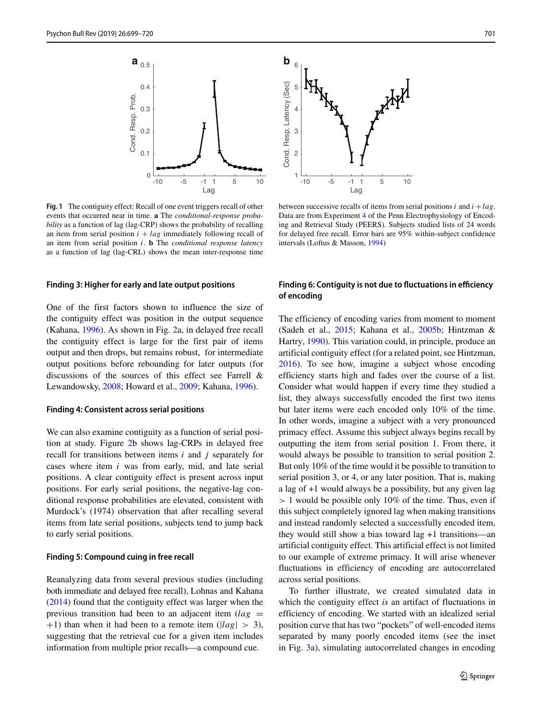<span id="page-2-0"></span>

**Fig. 1** The contiguity effect: Recall of one event triggers recall of other events that occurred near in time. **a** The *conditional-response probability* as a function of lag (lag-CRP) shows the probability of recalling an item from serial position  $i + lag$  immediately following recall of an item from serial position *i*. **b** The *conditional response latency* as a function of lag (lag-CRL) shows the mean inter-response time

#### **Finding 3: Higher for early and late output positions**

One of the first factors shown to influence the size of the contiguity effect was position in the output sequence (Kahana, [1996\)](#page-19-1). As shown in Fig. [2a](#page-3-0), in delayed free recall the contiguity effect is large for the first pair of items output and then drops, but remains robust, for intermediate output positions before rebounding for later outputs (for discussions of the sources of this effect see Farrell & Lewandowsky, [2008;](#page-19-10) Howard et al., [2009;](#page-19-11) Kahana, [1996\)](#page-19-1).

#### **Finding 4: Consistent across serial positions**

We can also examine contiguity as a function of serial position at study. Figure [2b](#page-3-0) shows lag-CRPs in delayed free recall for transitions between items *i* and *j* separately for cases where item *i* was from early, mid, and late serial positions. A clear contiguity effect is present across input positions. For early serial positions, the negative-lag conditional response probabilities are elevated, consistent with Murdock's (1974) observation that after recalling several items from late serial positions, subjects tend to jump back to early serial positions.

### **Finding 5: Compound cuing in free recall**

Reanalyzing data from several previous studies (including both immediate and delayed free recall), Lohnas and Kahana [\(2014\)](#page-20-2) found that the contiguity effect was larger when the previous transition had been to an adjacent item  $(lag =$ +1) than when it had been to a remote item (|*lag*| *>* 3), suggesting that the retrieval cue for a given item includes information from multiple prior recalls—a compound cue.



between successive recalls of items from serial positions *i* and *i* +*lag*. Data are from Experiment [4](#page-17-0) of the Penn Electrophysiology of Encoding and Retrieval Study (PEERS). Subjects studied lists of 24 words for delayed free recall. Error bars are 95% within-subject confidence intervals (Loftus & Masson, [1994\)](#page-20-12)

# **Finding 6: Contiguity is not due to fluctuations in efficiency of encoding**

The efficiency of encoding varies from moment to moment (Sadeh et al., [2015;](#page-21-7) Kahana et al., [2005b;](#page-19-12) Hintzman & Hartry, [1990\)](#page-19-13). This variation could, in principle, produce an artificial contiguity effect (for a related point, see Hintzman, [2016\)](#page-19-14). To see how, imagine a subject whose encoding efficiency starts high and fades over the course of a list. Consider what would happen if every time they studied a list, they always successfully encoded the first two items but later items were each encoded only 10% of the time. In other words, imagine a subject with a very pronounced primacy effect. Assume this subject always begins recall by outputting the item from serial position 1. From there, it would always be possible to transition to serial position 2. But only 10% of the time would it be possible to transition to serial position 3, or 4, or any later position. That is, making a lag of +1 would always be a possibility, but any given lag *>* 1 would be possible only 10% of the time. Thus, even if this subject completely ignored lag when making transitions and instead randomly selected a successfully encoded item, they would still show a bias toward lag +1 transitions—an artificial contiguity effect. This artificial effect is not limited to our example of extreme primacy. It will arise whenever fluctuations in efficiency of encoding are autocorrelated across serial positions.

To further illustrate, we created simulated data in which the contiguity effect *is* an artifact of fluctuations in efficiency of encoding. We started with an idealized serial position curve that has two "pockets" of well-encoded items separated by many poorly encoded items (see the inset in Fig. [3a](#page-3-1)), simulating autocorrelated changes in encoding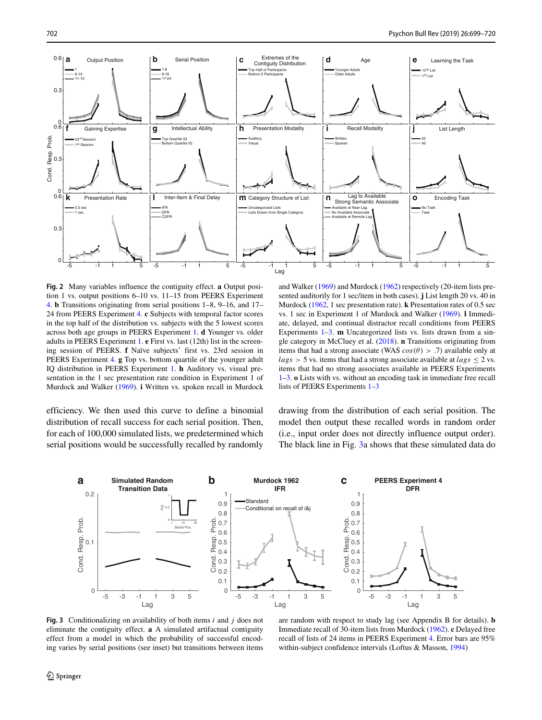<span id="page-3-0"></span>

**Fig. 2** Many variables influence the contiguity effect. **a** Output position 1 vs. output positions 6–10 vs. 11–15 from PEERS Experiment [4.](#page-17-0) **b** Transitions originating from serial positions 1–8, 9–16, and 17– 24 from PEERS Experiment [4.](#page-17-0) **c** Subjects with temporal factor scores in the top half of the distribution vs. subjects with the 5 lowest scores across both age groups in PEERS Experiment [1.](#page-16-0) **d** Younger vs. older adults in PEERS Experiment [1.](#page-16-0) **e** First vs. last (12th) list in the screening session of PEERS. **f** Naïve subjects' first vs. 23rd session in PEERS Experiment [4.](#page-17-0) **g** Top vs. bottom quartile of the younger adult IQ distribution in PEERS Experiment [1.](#page-16-0) **h** Auditory vs. visual presentation in the 1 sec presentation rate condition in Experiment 1 of Murdock and Walker [\(1969\)](#page-20-13). **i** Written vs. spoken recall in Murdock

efficiency. We then used this curve to define a binomial distribution of recall success for each serial position. Then, for each of 100,000 simulated lists, we predetermined which serial positions would be successfully recalled by randomly

and Walker [\(1969\)](#page-20-13) and Murdock [\(1962\)](#page-20-14) respectively (20-item lists presented auditorily for 1 sec/item in both cases). **j** List length 20 vs. 40 in Murdock [\(1962,](#page-20-14) 1 sec presentation rate). **k** Presentation rates of 0.5 sec vs. 1 sec in Experiment 1 of Murdock and Walker [\(1969\)](#page-20-13). **l** Immediate, delayed, and continual distractor recall conditions from PEERS Experiments [1–](#page-16-0)[3.](#page-17-1) **m** Uncategorized lists vs. lists drawn from a single category in McCluey et al. [\(2018\)](#page-20-15). **n** Transitions originating from items that had a strong associate (WAS  $cos(\theta) > .7$ ) available only at  $lags > 5$  vs. items that had a strong associate available at  $lags \leq 2$  vs. items that had no strong associates available in PEERS Experiments [1](#page-16-0)[–3.](#page-17-1) **o** Lists with vs. without an encoding task in immediate free recall lists of PEERS Experiments [1](#page-16-0)[–3](#page-17-1)

drawing from the distribution of each serial position. The model then output these recalled words in random order (i.e., input order does not directly influence output order). The black line in Fig. [3a](#page-3-1) shows that these simulated data do

<span id="page-3-1"></span>

**Fig. 3** Conditionalizing on availability of both items *i* and *j* does not eliminate the contiguity effect. **a** A simulated artifactual contiguity effect from a model in which the probability of successful encoding varies by serial positions (see inset) but transitions between items

are random with respect to study lag (see Appendix B for details). **b** Immediate recall of 30-item lists from Murdock [\(1962\)](#page-20-14). **c** Delayed free recall of lists of 24 items in PEERS Experiment [4.](#page-17-0) Error bars are 95% within-subject confidence intervals (Loftus & Masson, [1994\)](#page-20-12)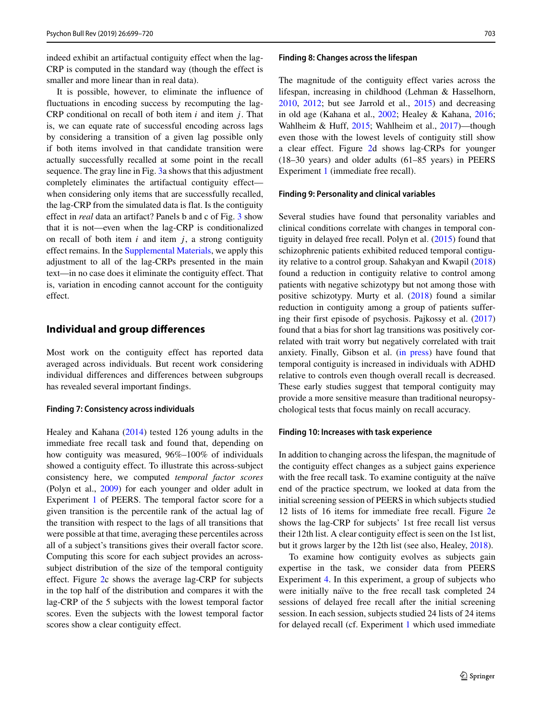indeed exhibit an artifactual contiguity effect when the lag-CRP is computed in the standard way (though the effect is smaller and more linear than in real data).

It is possible, however, to eliminate the influence of fluctuations in encoding success by recomputing the lag-CRP conditional on recall of both item *i* and item *j* . That is, we can equate rate of successful encoding across lags by considering a transition of a given lag possible only if both items involved in that candidate transition were actually successfully recalled at some point in the recall sequence. The gray line in Fig. [3a](#page-3-1) shows that this adjustment completely eliminates the artifactual contiguity effect when considering only items that are successfully recalled, the lag-CRP from the simulated data is flat. Is the contiguity effect in *real* data an artifact? Panels b and c of Fig. [3](#page-3-1) show that it is not—even when the lag-CRP is conditionalized on recall of both item *i* and item *j* , a strong contiguity effect remains. In the Supplemental Materials, we apply this adjustment to all of the lag-CRPs presented in the main text—in no case does it eliminate the contiguity effect. That is, variation in encoding cannot account for the contiguity effect.

# **Individual and group differences**

Most work on the contiguity effect has reported data averaged across individuals. But recent work considering individual differences and differences between subgroups has revealed several important findings.

#### **Finding 7: Consistency across individuals**

Healey and Kahana [\(2014\)](#page-19-0) tested 126 young adults in the immediate free recall task and found that, depending on how contiguity was measured, 96%–100% of individuals showed a contiguity effect. To illustrate this across-subject consistency here, we computed *temporal factor scores* (Polyn et al., [2009\)](#page-20-16) for each younger and older adult in Experiment [1](#page-16-0) of PEERS. The temporal factor score for a given transition is the percentile rank of the actual lag of the transition with respect to the lags of all transitions that were possible at that time, averaging these percentiles across all of a subject's transitions gives their overall factor score. Computing this score for each subject provides an acrosssubject distribution of the size of the temporal contiguity effect. Figure [2c](#page-3-0) shows the average lag-CRP for subjects in the top half of the distribution and compares it with the lag-CRP of the 5 subjects with the lowest temporal factor scores. Even the subjects with the lowest temporal factor scores show a clear contiguity effect.

#### **Finding 8: Changes across the lifespan**

The magnitude of the contiguity effect varies across the lifespan, increasing in childhood (Lehman & Hasselhorn, [2010,](#page-19-15) [2012;](#page-19-16) but see Jarrold et al., [2015\)](#page-19-17) and decreasing in old age (Kahana et al., [2002;](#page-19-2) Healey & Kahana, [2016;](#page-19-18) Wahlheim & Huff, [2015;](#page-21-8) Wahlheim et al., [2017\)](#page-21-9)—though even those with the lowest levels of contiguity still show a clear effect. Figure [2d](#page-3-0) shows lag-CRPs for younger (18–30 years) and older adults (61–85 years) in PEERS Experiment [1](#page-16-0) (immediate free recall).

#### **Finding 9: Personality and clinical variables**

Several studies have found that personality variables and clinical conditions correlate with changes in temporal contiguity in delayed free recall. Polyn et al. [\(2015\)](#page-20-4) found that schizophrenic patients exhibited reduced temporal contiguity relative to a control group. Sahakyan and Kwapil [\(2018\)](#page-21-10) found a reduction in contiguity relative to control among patients with negative schizotypy but not among those with positive schizotypy. Murty et al. [\(2018\)](#page-20-17) found a similar reduction in contiguity among a group of patients suffering their first episode of psychosis. Pajkossy et al. [\(2017\)](#page-20-5) found that a bias for short lag transitions was positively correlated with trait worry but negatively correlated with trait anxiety. Finally, Gibson et al. [\(in press\)](#page-19-19) have found that temporal contiguity is increased in individuals with ADHD relative to controls even though overall recall is decreased. These early studies suggest that temporal contiguity may provide a more sensitive measure than traditional neuropsychological tests that focus mainly on recall accuracy.

# **Finding 10: Increases with task experience**

In addition to changing across the lifespan, the magnitude of the contiguity effect changes as a subject gains experience with the free recall task. To examine contiguity at the naïve end of the practice spectrum, we looked at data from the initial screening session of PEERS in which subjects studied 12 lists of 16 items for immediate free recall. Figure [2e](#page-3-0) shows the lag-CRP for subjects' 1st free recall list versus their 12th list. A clear contiguity effect is seen on the 1st list, but it grows larger by the 12th list (see also, Healey, [2018\)](#page-19-6).

To examine how contiguity evolves as subjects gain expertise in the task, we consider data from PEERS Experiment [4.](#page-17-0) In this experiment, a group of subjects who were initially naïve to the free recall task completed 24 sessions of delayed free recall after the initial screening session. In each session, subjects studied 24 lists of 24 items for delayed recall (cf. Experiment [1](#page-16-0) which used immediate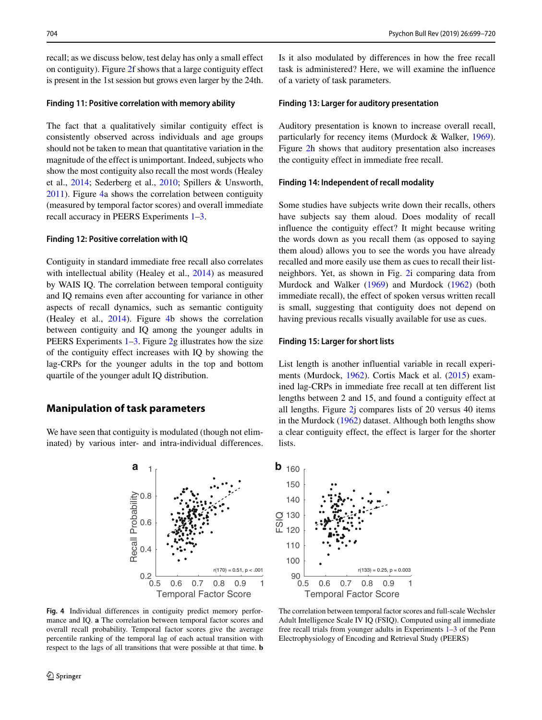recall; as we discuss below, test delay has only a small effect on contiguity). Figure [2f](#page-3-0) shows that a large contiguity effect is present in the 1st session but grows even larger by the 24th.

# **Finding 11: Positive correlation with memory ability**

The fact that a qualitatively similar contiguity effect is consistently observed across individuals and age groups should not be taken to mean that quantitative variation in the magnitude of the effect is unimportant. Indeed, subjects who show the most contiguity also recall the most words (Healey et al., [2014;](#page-19-3) Sederberg et al., [2010;](#page-21-0) Spillers & Unsworth, [2011\)](#page-21-11). Figure [4a](#page-5-0) shows the correlation between contiguity (measured by temporal factor scores) and overall immediate recall accuracy in PEERS Experiments [1](#page-16-0)[–3.](#page-17-1)

#### **Finding 12: Positive correlation with IQ**

Contiguity in standard immediate free recall also correlates with intellectual ability (Healey et al., [2014\)](#page-19-3) as measured by WAIS IQ. The correlation between temporal contiguity and IQ remains even after accounting for variance in other aspects of recall dynamics, such as semantic contiguity (Healey et al., [2014\)](#page-19-3). Figure [4b](#page-5-0) shows the correlation between contiguity and IQ among the younger adults in PEERS Experiments [1–](#page-16-0)[3.](#page-17-1) Figure [2g](#page-3-0) illustrates how the size of the contiguity effect increases with IQ by showing the lag-CRPs for the younger adults in the top and bottom quartile of the younger adult IQ distribution.

# **Manipulation of task parameters**

Recall Probability

<span id="page-5-0"></span>We have seen that contiguity is modulated (though not eliminated) by various inter- and intra-individual differences.



0.2

0.4

0.6

0.8

1

Temporal Factor Score 0.5 0.6 0.7 0.8 0.9 1

 $r(170) = 0.51, p < .001$ 

Is it also modulated by differences in how the free recall task is administered? Here, we will examine the influence of a variety of task parameters.

# **Finding 13: Larger for auditory presentation**

Auditory presentation is known to increase overall recall, particularly for recency items (Murdock & Walker, [1969\)](#page-20-13). Figure [2h](#page-3-0) shows that auditory presentation also increases the contiguity effect in immediate free recall.

# **Finding 14: Independent of recall modality**

Some studies have subjects write down their recalls, others have subjects say them aloud. Does modality of recall influence the contiguity effect? It might because writing the words down as you recall them (as opposed to saying them aloud) allows you to see the words you have already recalled and more easily use them as cues to recall their listneighbors. Yet, as shown in Fig. [2i](#page-3-0) comparing data from Murdock and Walker [\(1969\)](#page-20-13) and Murdock [\(1962\)](#page-20-14) (both immediate recall), the effect of spoken versus written recall is small, suggesting that contiguity does not depend on having previous recalls visually available for use as cues.

### **Finding 15: Larger for short lists**

List length is another influential variable in recall experiments (Murdock, [1962\)](#page-20-14). Cortis Mack et al. [\(2015\)](#page-18-2) examined lag-CRPs in immediate free recall at ten different list lengths between 2 and 15, and found a contiguity effect at all lengths. Figure [2j](#page-3-0) compares lists of 20 versus 40 items in the Murdock [\(1962\)](#page-20-14) dataset. Although both lengths show a clear contiguity effect, the effect is larger for the shorter lists.



The correlation between temporal factor scores and full-scale Wechsler Adult Intelligence Scale IV IQ (FSIQ). Computed using all immediate free recall trials from younger adults in Experiments [1–](#page-16-0)[3](#page-17-1) of the Penn Electrophysiology of Encoding and Retrieval Study (PEERS)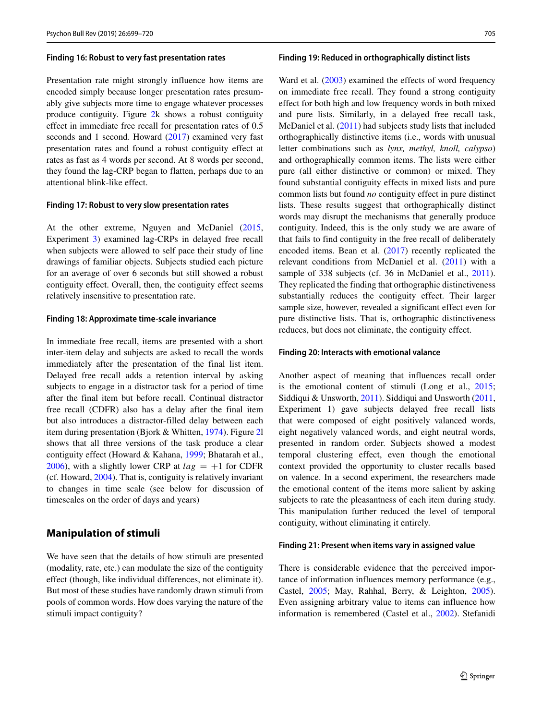#### **Finding 16: Robust to very fast presentation rates**

Presentation rate might strongly influence how items are encoded simply because longer presentation rates presumably give subjects more time to engage whatever processes produce contiguity. Figure [2k](#page-3-0) shows a robust contiguity effect in immediate free recall for presentation rates of 0.5 seconds and 1 second. Howard [\(2017\)](#page-19-4) examined very fast presentation rates and found a robust contiguity effect at rates as fast as 4 words per second. At 8 words per second, they found the lag-CRP began to flatten, perhaps due to an attentional blink-like effect.

# **Finding 17: Robust to very slow presentation rates**

At the other extreme, Nguyen and McDaniel [\(2015,](#page-20-6) Experiment [3\)](#page-17-1) examined lag-CRPs in delayed free recall when subjects were allowed to self pace their study of line drawings of familiar objects. Subjects studied each picture for an average of over 6 seconds but still showed a robust contiguity effect. Overall, then, the contiguity effect seems relatively insensitive to presentation rate.

#### **Finding 18: Approximate time-scale invariance**

In immediate free recall, items are presented with a short inter-item delay and subjects are asked to recall the words immediately after the presentation of the final list item. Delayed free recall adds a retention interval by asking subjects to engage in a distractor task for a period of time after the final item but before recall. Continual distractor free recall (CDFR) also has a delay after the final item but also introduces a distractor-filled delay between each item during presentation (Bjork & Whitten, [1974\)](#page-18-3). Figure [2l](#page-3-0) shows that all three versions of the task produce a clear contiguity effect (Howard & Kahana, [1999;](#page-19-5) Bhatarah et al., [2006\)](#page-18-4), with a slightly lower CRP at  $lag = +1$  for CDFR (cf. Howard, [2004\)](#page-19-20). That is, contiguity is relatively invariant to changes in time scale (see below for discussion of timescales on the order of days and years)

# **Manipulation of stimuli**

We have seen that the details of how stimuli are presented (modality, rate, etc.) can modulate the size of the contiguity effect (though, like individual differences, not eliminate it). But most of these studies have randomly drawn stimuli from pools of common words. How does varying the nature of the stimuli impact contiguity?

#### **Finding 19: Reduced in orthographically distinct lists**

Ward et al.  $(2003)$  examined the effects of word frequency on immediate free recall. They found a strong contiguity effect for both high and low frequency words in both mixed and pure lists. Similarly, in a delayed free recall task, McDaniel et al. [\(2011\)](#page-20-7) had subjects study lists that included orthographically distinctive items (i.e., words with unusual letter combinations such as *lynx, methyl, knoll, calypso*) and orthographically common items. The lists were either pure (all either distinctive or common) or mixed. They found substantial contiguity effects in mixed lists and pure common lists but found *no* contiguity effect in pure distinct lists. These results suggest that orthographically distinct words may disrupt the mechanisms that generally produce contiguity. Indeed, this is the only study we are aware of that fails to find contiguity in the free recall of deliberately encoded items. Bean et al. [\(2017\)](#page-18-5) recently replicated the relevant conditions from McDaniel et al. [\(2011\)](#page-20-7) with a sample of 338 subjects (cf. 36 in McDaniel et al., [2011\)](#page-20-7). They replicated the finding that orthographic distinctiveness substantially reduces the contiguity effect. Their larger sample size, however, revealed a significant effect even for pure distinctive lists. That is, orthographic distinctiveness reduces, but does not eliminate, the contiguity effect.

#### **Finding 20: Interacts with emotional valance**

Another aspect of meaning that influences recall order is the emotional content of stimuli (Long et al., [2015;](#page-20-18) Siddiqui & Unsworth, [2011\)](#page-21-1). Siddiqui and Unsworth [\(2011,](#page-21-1) Experiment 1) gave subjects delayed free recall lists that were composed of eight positively valanced words, eight negatively valanced words, and eight neutral words, presented in random order. Subjects showed a modest temporal clustering effect, even though the emotional context provided the opportunity to cluster recalls based on valence. In a second experiment, the researchers made the emotional content of the items more salient by asking subjects to rate the pleasantness of each item during study. This manipulation further reduced the level of temporal contiguity, without eliminating it entirely.

#### **Finding 21: Present when items vary in assigned value**

There is considerable evidence that the perceived importance of information influences memory performance (e.g., Castel, [2005;](#page-18-6) May, Rahhal, Berry, & Leighton, [2005\)](#page-20-19). Even assigning arbitrary value to items can influence how information is remembered (Castel et al., [2002\)](#page-18-7). Stefanidi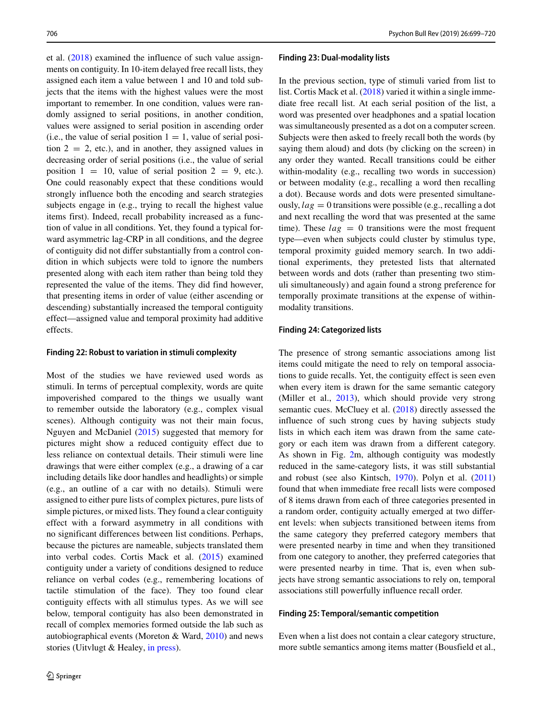et al. [\(2018\)](#page-21-13) examined the influence of such value assignments on contiguity. In 10-item delayed free recall lists, they assigned each item a value between 1 and 10 and told subjects that the items with the highest values were the most important to remember. In one condition, values were randomly assigned to serial positions, in another condition, values were assigned to serial position in ascending order (i.e., the value of serial position  $1 = 1$ , value of serial position  $2 = 2$ , etc.), and in another, they assigned values in decreasing order of serial positions (i.e., the value of serial position  $1 = 10$ , value of serial position  $2 = 9$ , etc.). One could reasonably expect that these conditions would strongly influence both the encoding and search strategies subjects engage in (e.g., trying to recall the highest value items first). Indeed, recall probability increased as a function of value in all conditions. Yet, they found a typical forward asymmetric lag-CRP in all conditions, and the degree of contiguity did not differ substantially from a control condition in which subjects were told to ignore the numbers presented along with each item rather than being told they represented the value of the items. They did find however, that presenting items in order of value (either ascending or descending) substantially increased the temporal contiguity effect—assigned value and temporal proximity had additive effects.

#### **Finding 22: Robust to variation in stimuli complexity**

Most of the studies we have reviewed used words as stimuli. In terms of perceptual complexity, words are quite impoverished compared to the things we usually want to remember outside the laboratory (e.g., complex visual scenes). Although contiguity was not their main focus, Nguyen and McDaniel [\(2015\)](#page-20-6) suggested that memory for pictures might show a reduced contiguity effect due to less reliance on contextual details. Their stimuli were line drawings that were either complex (e.g., a drawing of a car including details like door handles and headlights) or simple (e.g., an outline of a car with no details). Stimuli were assigned to either pure lists of complex pictures, pure lists of simple pictures, or mixed lists. They found a clear contiguity effect with a forward asymmetry in all conditions with no significant differences between list conditions. Perhaps, because the pictures are nameable, subjects translated them into verbal codes. Cortis Mack et al. [\(2015\)](#page-18-2) examined contiguity under a variety of conditions designed to reduce reliance on verbal codes (e.g., remembering locations of tactile stimulation of the face). They too found clear contiguity effects with all stimulus types. As we will see below, temporal contiguity has also been demonstrated in recall of complex memories formed outside the lab such as autobiographical events (Moreton & Ward, [2010\)](#page-20-11) and news stories (Uitvlugt & Healey, [in press\)](#page-21-6).

#### **Finding 23: Dual-modality lists**

In the previous section, type of stimuli varied from list to list. Cortis Mack et al. [\(2018\)](#page-18-0) varied it within a single immediate free recall list. At each serial position of the list, a word was presented over headphones and a spatial location was simultaneously presented as a dot on a computer screen. Subjects were then asked to freely recall both the words (by saying them aloud) and dots (by clicking on the screen) in any order they wanted. Recall transitions could be either within-modality (e.g., recalling two words in succession) or between modality (e.g., recalling a word then recalling a dot). Because words and dots were presented simultaneously,  $lag = 0$  transitions were possible (e.g., recalling a dot and next recalling the word that was presented at the same time). These  $lag = 0$  transitions were the most frequent type—even when subjects could cluster by stimulus type, temporal proximity guided memory search. In two additional experiments, they pretested lists that alternated between words and dots (rather than presenting two stimuli simultaneously) and again found a strong preference for temporally proximate transitions at the expense of withinmodality transitions.

#### **Finding 24: Categorized lists**

The presence of strong semantic associations among list items could mitigate the need to rely on temporal associations to guide recalls. Yet, the contiguity effect is seen even when every item is drawn for the same semantic category (Miller et al., [2013\)](#page-20-20), which should provide very strong semantic cues. McCluey et al. [\(2018\)](#page-20-15) directly assessed the influence of such strong cues by having subjects study lists in which each item was drawn from the same category or each item was drawn from a different category. As shown in Fig. [2m](#page-3-0), although contiguity was modestly reduced in the same-category lists, it was still substantial and robust (see also Kintsch, [1970\)](#page-19-21). Polyn et al. [\(2011\)](#page-20-8) found that when immediate free recall lists were composed of 8 items drawn from each of three categories presented in a random order, contiguity actually emerged at two different levels: when subjects transitioned between items from the same category they preferred category members that were presented nearby in time and when they transitioned from one category to another, they preferred categories that were presented nearby in time. That is, even when subjects have strong semantic associations to rely on, temporal associations still powerfully influence recall order.

#### **Finding 25: Temporal/semantic competition**

Even when a list does not contain a clear category structure, more subtle semantics among items matter (Bousfield et al.,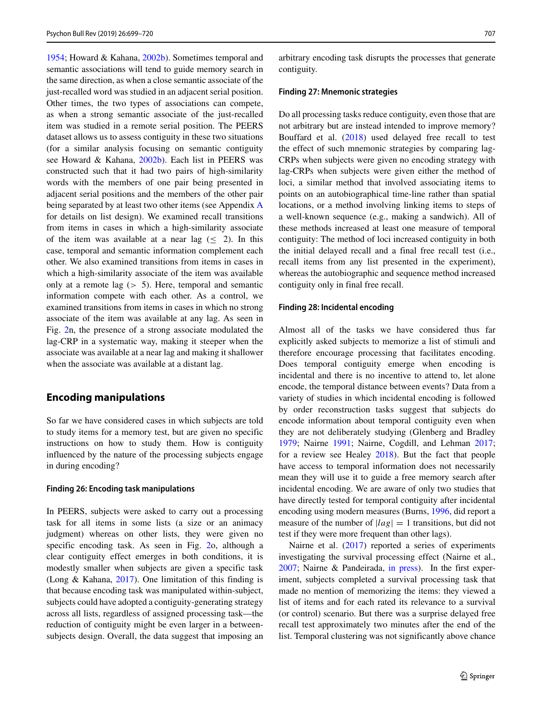[1954;](#page-18-8) Howard & Kahana, [2002b\)](#page-19-22). Sometimes temporal and semantic associations will tend to guide memory search in the same direction, as when a close semantic associate of the just-recalled word was studied in an adjacent serial position. Other times, the two types of associations can compete, as when a strong semantic associate of the just-recalled item was studied in a remote serial position. The PEERS dataset allows us to assess contiguity in these two situations (for a similar analysis focusing on semantic contiguity see Howard & Kahana, [2002b\)](#page-19-22). Each list in PEERS was constructed such that it had two pairs of high-similarity words with the members of one pair being presented in adjacent serial positions and the members of the other pair being separated by at least two other items (see [A](#page-15-0)ppendix A for details on list design). We examined recall transitions from items in cases in which a high-similarity associate of the item was available at a near lag  $\leq$  2). In this case, temporal and semantic information complement each other. We also examined transitions from items in cases in which a high-similarity associate of the item was available only at a remote lag (*>* 5). Here, temporal and semantic information compete with each other. As a control, we examined transitions from items in cases in which no strong associate of the item was available at any lag. As seen in Fig. [2n](#page-3-0), the presence of a strong associate modulated the lag-CRP in a systematic way, making it steeper when the associate was available at a near lag and making it shallower when the associate was available at a distant lag.

# **Encoding manipulations**

So far we have considered cases in which subjects are told to study items for a memory test, but are given no specific instructions on how to study them. How is contiguity influenced by the nature of the processing subjects engage in during encoding?

#### **Finding 26: Encoding task manipulations**

In PEERS, subjects were asked to carry out a processing task for all items in some lists (a size or an animacy judgment) whereas on other lists, they were given no specific encoding task. As seen in Fig. [2o](#page-3-0), although a clear contiguity effect emerges in both conditions, it is modestly smaller when subjects are given a specific task (Long & Kahana, [2017\)](#page-20-9). One limitation of this finding is that because encoding task was manipulated within-subject, subjects could have adopted a contiguity-generating strategy across all lists, regardless of assigned processing task—the reduction of contiguity might be even larger in a betweensubjects design. Overall, the data suggest that imposing an arbitrary encoding task disrupts the processes that generate contiguity.

#### **Finding 27: Mnemonic strategies**

Do all processing tasks reduce contiguity, even those that are not arbitrary but are instead intended to improve memory? Bouffard et al. [\(2018\)](#page-18-1) used delayed free recall to test the effect of such mnemonic strategies by comparing lag-CRPs when subjects were given no encoding strategy with lag-CRPs when subjects were given either the method of loci, a similar method that involved associating items to points on an autobiographical time-line rather than spatial locations, or a method involving linking items to steps of a well-known sequence (e.g., making a sandwich). All of these methods increased at least one measure of temporal contiguity: The method of loci increased contiguity in both the initial delayed recall and a final free recall test (i.e., recall items from any list presented in the experiment), whereas the autobiographic and sequence method increased contiguity only in final free recall.

## **Finding 28: Incidental encoding**

Almost all of the tasks we have considered thus far explicitly asked subjects to memorize a list of stimuli and therefore encourage processing that facilitates encoding. Does temporal contiguity emerge when encoding is incidental and there is no incentive to attend to, let alone encode, the temporal distance between events? Data from a variety of studies in which incidental encoding is followed by order reconstruction tasks suggest that subjects do encode information about temporal contiguity even when they are not deliberately studying (Glenberg and Bradley [1979;](#page-19-23) Nairne [1991;](#page-20-21) Nairne, Cogdill, and Lehman [2017;](#page-20-10) for a review see Healey [2018\)](#page-19-6). But the fact that people have access to temporal information does not necessarily mean they will use it to guide a free memory search after incidental encoding. We are aware of only two studies that have directly tested for temporal contiguity after incidental encoding using modern measures (Burns, [1996,](#page-18-9) did report a measure of the number of  $|lag| = 1$  transitions, but did not test if they were more frequent than other lags).

Nairne et al. [\(2017\)](#page-20-10) reported a series of experiments investigating the survival processing effect (Nairne et al., [2007;](#page-20-22) Nairne & Pandeirada, [in press\)](#page-20-23). In the first experiment, subjects completed a survival processing task that made no mention of memorizing the items: they viewed a list of items and for each rated its relevance to a survival (or control) scenario. But there was a surprise delayed free recall test approximately two minutes after the end of the list. Temporal clustering was not significantly above chance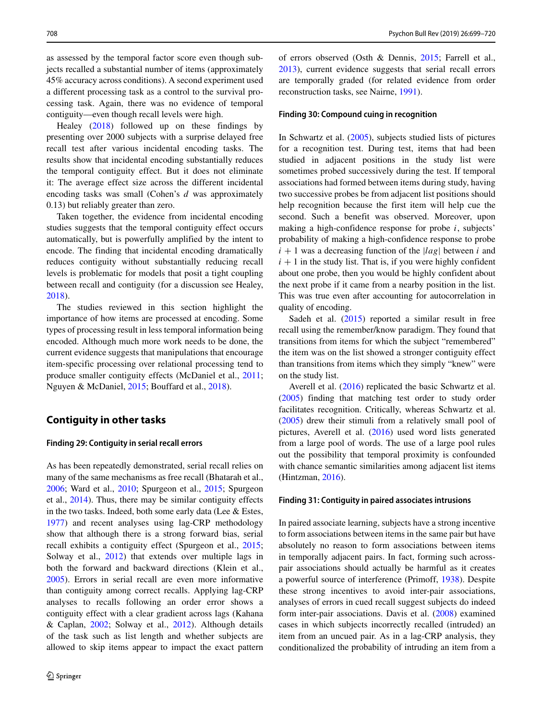as assessed by the temporal factor score even though subjects recalled a substantial number of items (approximately 45% accuracy across conditions). A second experiment used a different processing task as a control to the survival processing task. Again, there was no evidence of temporal contiguity—even though recall levels were high.

Healey [\(2018\)](#page-19-6) followed up on these findings by presenting over 2000 subjects with a surprise delayed free recall test after various incidental encoding tasks. The results show that incidental encoding substantially reduces the temporal contiguity effect. But it does not eliminate it: The average effect size across the different incidental encoding tasks was small (Cohen's *d* was approximately 0.13) but reliably greater than zero.

Taken together, the evidence from incidental encoding studies suggests that the temporal contiguity effect occurs automatically, but is powerfully amplified by the intent to encode. The finding that incidental encoding dramatically reduces contiguity without substantially reducing recall levels is problematic for models that posit a tight coupling between recall and contiguity (for a discussion see Healey, [2018\)](#page-19-6).

The studies reviewed in this section highlight the importance of how items are processed at encoding. Some types of processing result in less temporal information being encoded. Although much more work needs to be done, the current evidence suggests that manipulations that encourage item-specific processing over relational processing tend to produce smaller contiguity effects (McDaniel et al., [2011;](#page-20-7) Nguyen & McDaniel, [2015;](#page-20-6) Bouffard et al., [2018\)](#page-18-1).

# **Contiguity in other tasks**

#### **Finding 29: Contiguity in serial recall errors**

As has been repeatedly demonstrated, serial recall relies on many of the same mechanisms as free recall (Bhatarah et al., [2006;](#page-18-4) Ward et al., [2010;](#page-21-14) Spurgeon et al., [2015;](#page-21-15) Spurgeon et al., [2014\)](#page-21-16). Thus, there may be similar contiguity effects in the two tasks. Indeed, both some early data (Lee & Estes, [1977\)](#page-19-24) and recent analyses using lag-CRP methodology show that although there is a strong forward bias, serial recall exhibits a contiguity effect (Spurgeon et al., [2015;](#page-21-15) Solway et al., [2012\)](#page-21-17) that extends over multiple lags in both the forward and backward directions (Klein et al., [2005\)](#page-19-7). Errors in serial recall are even more informative than contiguity among correct recalls. Applying lag-CRP analyses to recalls following an order error shows a contiguity effect with a clear gradient across lags (Kahana & Caplan, [2002;](#page-19-25) Solway et al., [2012\)](#page-21-17). Although details of the task such as list length and whether subjects are allowed to skip items appear to impact the exact pattern of errors observed (Osth & Dennis, [2015;](#page-20-24) Farrell et al., [2013\)](#page-19-26), current evidence suggests that serial recall errors are temporally graded (for related evidence from order reconstruction tasks, see Nairne, [1991\)](#page-20-21).

#### **Finding 30: Compound cuing in recognition**

In Schwartz et al. [\(2005\)](#page-21-3), subjects studied lists of pictures for a recognition test. During test, items that had been studied in adjacent positions in the study list were sometimes probed successively during the test. If temporal associations had formed between items during study, having two successive probes be from adjacent list positions should help recognition because the first item will help cue the second. Such a benefit was observed. Moreover, upon making a high-confidence response for probe *i*, subjects' probability of making a high-confidence response to probe  $i + 1$  was a decreasing function of the  $|lag|$  between *i* and  $i + 1$  in the study list. That is, if you were highly confident about one probe, then you would be highly confident about the next probe if it came from a nearby position in the list. This was true even after accounting for autocorrelation in quality of encoding.

Sadeh et al. [\(2015\)](#page-21-7) reported a similar result in free recall using the remember/know paradigm. They found that transitions from items for which the subject "remembered" the item was on the list showed a stronger contiguity effect than transitions from items which they simply "knew" were on the study list.

Averell et al. [\(2016\)](#page-18-10) replicated the basic Schwartz et al. [\(2005\)](#page-21-3) finding that matching test order to study order facilitates recognition. Critically, whereas Schwartz et al. [\(2005\)](#page-21-3) drew their stimuli from a relatively small pool of pictures, Averell et al. [\(2016\)](#page-18-10) used word lists generated from a large pool of words. The use of a large pool rules out the possibility that temporal proximity is confounded with chance semantic similarities among adjacent list items (Hintzman, [2016\)](#page-19-14).

#### **Finding 31: Contiguity in paired associates intrusions**

In paired associate learning, subjects have a strong incentive to form associations between items in the same pair but have absolutely no reason to form associations between items in temporally adjacent pairs. In fact, forming such acrosspair associations should actually be harmful as it creates a powerful source of interference (Primoff, [1938\)](#page-20-25). Despite these strong incentives to avoid inter-pair associations, analyses of errors in cued recall suggest subjects do indeed form inter-pair associations. Davis et al. [\(2008\)](#page-19-8) examined cases in which subjects incorrectly recalled (intruded) an item from an uncued pair. As in a lag-CRP analysis, they conditionalized the probability of intruding an item from a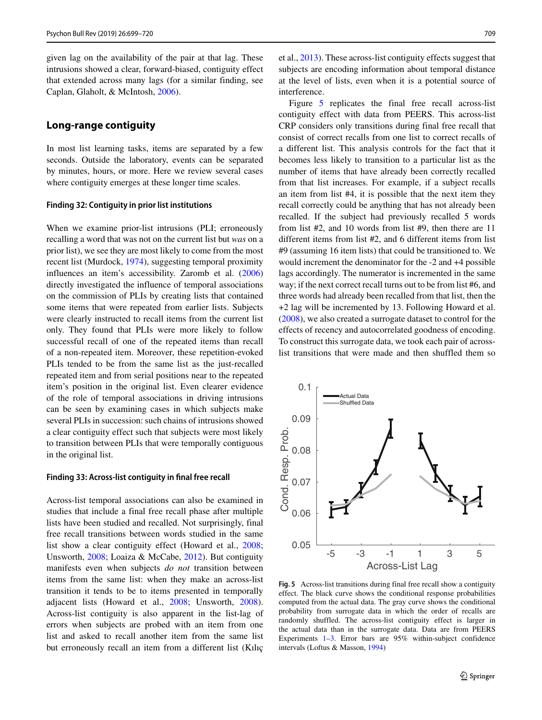given lag on the availability of the pair at that lag. These intrusions showed a clear, forward-biased, contiguity effect that extended across many lags (for a similar finding, see Caplan, Glaholt, & McIntosh, [2006\)](#page-18-11).

# **Long-range contiguity**

In most list learning tasks, items are separated by a few seconds. Outside the laboratory, events can be separated by minutes, hours, or more. Here we review several cases where contiguity emerges at these longer time scales.

#### **Finding 32: Contiguity in prior list institutions**

When we examine prior-list intrusions (PLI; erroneously recalling a word that was not on the current list but *was* on a prior list), we see they are most likely to come from the most recent list (Murdock, [1974\)](#page-20-26), suggesting temporal proximity influences an item's accessibility. Zaromb et al. [\(2006\)](#page-21-4) directly investigated the influence of temporal associations on the commission of PLIs by creating lists that contained some items that were repeated from earlier lists. Subjects were clearly instructed to recall items from the current list only. They found that PLIs were more likely to follow successful recall of one of the repeated items than recall of a non-repeated item. Moreover, these repetition-evoked PLIs tended to be from the same list as the just-recalled repeated item and from serial positions near to the repeated item's position in the original list. Even clearer evidence of the role of temporal associations in driving intrusions can be seen by examining cases in which subjects make several PLIs in succession: such chains of intrusions showed a clear contiguity effect such that subjects were most likely to transition between PLIs that were temporally contiguous in the original list.

#### **Finding 33: Across-list contiguity in final free recall**

Across-list temporal associations can also be examined in studies that include a final free recall phase after multiple lists have been studied and recalled. Not surprisingly, final free recall transitions between words studied in the same list show a clear contiguity effect (Howard et al., [2008;](#page-19-9) Unsworth, [2008;](#page-21-5) Loaiza & McCabe, [2012\)](#page-20-27). But contiguity manifests even when subjects *do not* transition between items from the same list: when they make an across-list transition it tends to be to items presented in temporally adjacent lists (Howard et al., [2008;](#page-19-9) Unsworth, [2008\)](#page-21-5). Across-list contiguity is also apparent in the list-lag of errors when subjects are probed with an item from one list and asked to recall another item from the same list but erroneously recall an item from a different list (Kilic et al., [2013\)](#page-19-27). These across-list contiguity effects suggest that subjects are encoding information about temporal distance at the level of lists, even when it is a potential source of interference.

Figure [5](#page-10-0) replicates the final free recall across-list contiguity effect with data from PEERS. This across-list CRP considers only transitions during final free recall that consist of correct recalls from one list to correct recalls of a different list. This analysis controls for the fact that it becomes less likely to transition to a particular list as the number of items that have already been correctly recalled from that list increases. For example, if a subject recalls an item from list #4, it is possible that the next item they recall correctly could be anything that has not already been recalled. If the subject had previously recalled 5 words from list #2, and 10 words from list #9, then there are 11 different items from list #2, and 6 different items from list #9 (assuming 16 item lists) that could be transitioned to. We would increment the denominator for the -2 and +4 possible lags accordingly. The numerator is incremented in the same way; if the next correct recall turns out to be from list #6, and three words had already been recalled from that list, then the +2 lag will be incremented by 13. Following Howard et al. [\(2008\)](#page-19-9), we also created a surrogate dataset to control for the effects of recency and autocorrelated goodness of encoding. To construct this surrogate data, we took each pair of acrosslist transitions that were made and then shuffled them so

<span id="page-10-0"></span>

**Fig. 5** Across-list transitions during final free recall show a contiguity effect. The black curve shows the conditional response probabilities computed from the actual data. The gray curve shows the conditional probability from surrogate data in which the order of recalls are randomly shuffled. The across-list contiguity effect is larger in the actual data than in the surrogate data. Data are from PEERS Experiments  $1-3$ . Error bars are 95% within-subject confidence intervals (Loftus & Masson, [1994\)](#page-20-12)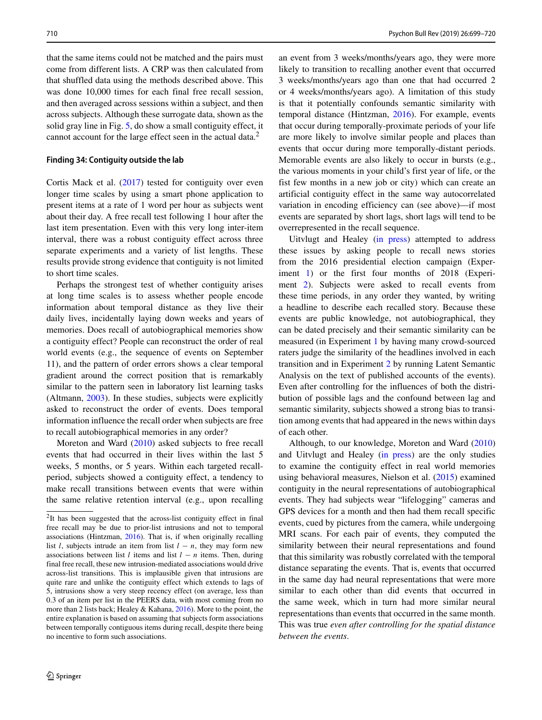that the same items could not be matched and the pairs must come from different lists. A CRP was then calculated from that shuffled data using the methods described above. This was done 10,000 times for each final free recall session, and then averaged across sessions within a subject, and then across subjects. Although these surrogate data, shown as the solid gray line in Fig. [5,](#page-10-0) do show a small contiguity effect, it cannot account for the large effect seen in the actual data.<sup>[2](#page-11-0)</sup>

#### **Finding 34: Contiguity outside the lab**

Cortis Mack et al. [\(2017\)](#page-18-12) tested for contiguity over even longer time scales by using a smart phone application to present items at a rate of 1 word per hour as subjects went about their day. A free recall test following 1 hour after the last item presentation. Even with this very long inter-item interval, there was a robust contiguity effect across three separate experiments and a variety of list lengths. These results provide strong evidence that contiguity is not limited to short time scales.

Perhaps the strongest test of whether contiguity arises at long time scales is to assess whether people encode information about temporal distance as they live their daily lives, incidentally laying down weeks and years of memories. Does recall of autobiographical memories show a contiguity effect? People can reconstruct the order of real world events (e.g., the sequence of events on September 11), and the pattern of order errors shows a clear temporal gradient around the correct position that is remarkably similar to the pattern seen in laboratory list learning tasks (Altmann, [2003\)](#page-18-13). In these studies, subjects were explicitly asked to reconstruct the order of events. Does temporal information influence the recall order when subjects are free to recall autobiographical memories in any order?

Moreton and Ward [\(2010\)](#page-20-11) asked subjects to free recall events that had occurred in their lives within the last 5 weeks, 5 months, or 5 years. Within each targeted recallperiod, subjects showed a contiguity effect, a tendency to make recall transitions between events that were within the same relative retention interval (e.g., upon recalling an event from 3 weeks/months/years ago, they were more likely to transition to recalling another event that occurred 3 weeks/months/years ago than one that had occurred 2 or 4 weeks/months/years ago). A limitation of this study is that it potentially confounds semantic similarity with temporal distance (Hintzman, [2016\)](#page-19-14). For example, events that occur during temporally-proximate periods of your life are more likely to involve similar people and places than events that occur during more temporally-distant periods. Memorable events are also likely to occur in bursts (e.g., the various moments in your child's first year of life, or the fist few months in a new job or city) which can create an artificial contiguity effect in the same way autocorrelated variation in encoding efficiency can (see above)—if most events are separated by short lags, short lags will tend to be overrepresented in the recall sequence.

Uitvlugt and Healey [\(in press\)](#page-21-6) attempted to address these issues by asking people to recall news stories from the 2016 presidential election campaign (Experiment [1\)](#page-16-0) or the first four months of 2018 (Experi-ment [2\)](#page-16-1). Subjects were asked to recall events from these time periods, in any order they wanted, by writing a headline to describe each recalled story. Because these events are public knowledge, not autobiographical, they can be dated precisely and their semantic similarity can be measured (in Experiment [1](#page-16-0) by having many crowd-sourced raters judge the similarity of the headlines involved in each transition and in Experiment [2](#page-16-1) by running Latent Semantic Analysis on the text of published accounts of the events). Even after controlling for the influences of both the distribution of possible lags and the confound between lag and semantic similarity, subjects showed a strong bias to transition among events that had appeared in the news within days of each other.

Although, to our knowledge, Moreton and Ward [\(2010\)](#page-20-11) and Uitvlugt and Healey [\(in press\)](#page-21-6) are the only studies to examine the contiguity effect in real world memories using behavioral measures, Nielson et al. [\(2015\)](#page-20-28) examined contiguity in the neural representations of autobiographical events. They had subjects wear "lifelogging" cameras and GPS devices for a month and then had them recall specific events, cued by pictures from the camera, while undergoing MRI scans. For each pair of events, they computed the similarity between their neural representations and found that this similarity was robustly correlated with the temporal distance separating the events. That is, events that occurred in the same day had neural representations that were more similar to each other than did events that occurred in the same week, which in turn had more similar neural representations than events that occurred in the same month. This was true *even after controlling for the spatial distance between the events*.

<span id="page-11-0"></span><sup>&</sup>lt;sup>2</sup>It has been suggested that the across-list contiguity effect in final free recall may be due to prior-list intrusions and not to temporal associations (Hintzman, [2016\)](#page-19-14). That is, if when originally recalling list *l*, subjects intrude an item from list  $l - n$ , they may form new associations between list *l* items and list *l* − *n* items. Then, during final free recall, these new intrusion-mediated associations would drive across-list transitions. This is implausible given that intrusions are quite rare and unlike the contiguity effect which extends to lags of 5, intrusions show a very steep recency effect (on average, less than 0.3 of an item per list in the PEERS data, with most coming from no more than 2 lists back; Healey & Kahana, [2016\)](#page-19-18). More to the point, the entire explanation is based on assuming that subjects form associations between temporally contiguous items during recall, despite there being no incentive to form such associations.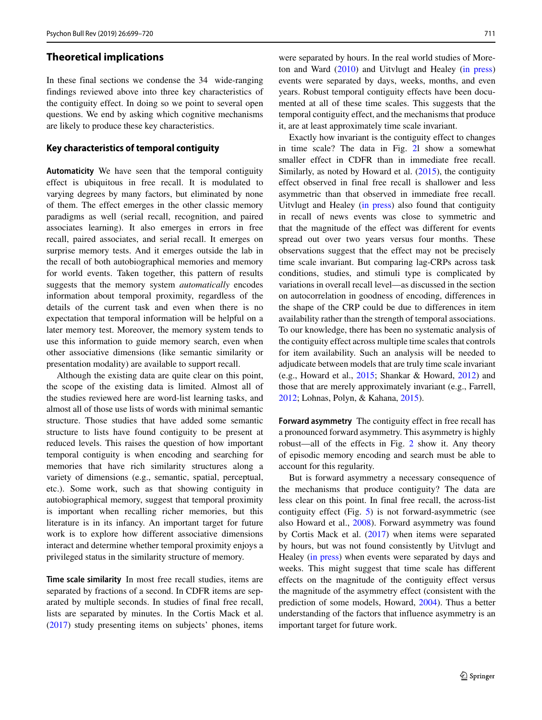# **Theoretical implications**

In these final sections we condense the 34 wide-ranging findings reviewed above into three key characteristics of the contiguity effect. In doing so we point to several open questions. We end by asking which cognitive mechanisms are likely to produce these key characteristics.

## **Key characteristics of temporal contiguity**

**Automaticity** We have seen that the temporal contiguity effect is ubiquitous in free recall. It is modulated to varying degrees by many factors, but eliminated by none of them. The effect emerges in the other classic memory paradigms as well (serial recall, recognition, and paired associates learning). It also emerges in errors in free recall, paired associates, and serial recall. It emerges on surprise memory tests. And it emerges outside the lab in the recall of both autobiographical memories and memory for world events. Taken together, this pattern of results suggests that the memory system *automatically* encodes information about temporal proximity, regardless of the details of the current task and even when there is no expectation that temporal information will be helpful on a later memory test. Moreover, the memory system tends to use this information to guide memory search, even when other associative dimensions (like semantic similarity or presentation modality) are available to support recall.

Although the existing data are quite clear on this point, the scope of the existing data is limited. Almost all of the studies reviewed here are word-list learning tasks, and almost all of those use lists of words with minimal semantic structure. Those studies that have added some semantic structure to lists have found contiguity to be present at reduced levels. This raises the question of how important temporal contiguity is when encoding and searching for memories that have rich similarity structures along a variety of dimensions (e.g., semantic, spatial, perceptual, etc.). Some work, such as that showing contiguity in autobiographical memory, suggest that temporal proximity is important when recalling richer memories, but this literature is in its infancy. An important target for future work is to explore how different associative dimensions interact and determine whether temporal proximity enjoys a privileged status in the similarity structure of memory.

**Time scale similarity** In most free recall studies, items are separated by fractions of a second. In CDFR items are separated by multiple seconds. In studies of final free recall, lists are separated by minutes. In the Cortis Mack et al. [\(2017\)](#page-18-12) study presenting items on subjects' phones, items were separated by hours. In the real world studies of Moreton and Ward [\(2010\)](#page-20-11) and Uitvlugt and Healey [\(in press\)](#page-21-6) events were separated by days, weeks, months, and even years. Robust temporal contiguity effects have been documented at all of these time scales. This suggests that the temporal contiguity effect, and the mechanisms that produce it, are at least approximately time scale invariant.

Exactly how invariant is the contiguity effect to changes in time scale? The data in Fig. [2l](#page-3-0) show a somewhat smaller effect in CDFR than in immediate free recall. Similarly, as noted by Howard et al. [\(2015\)](#page-19-28), the contiguity effect observed in final free recall is shallower and less asymmetric than that observed in immediate free recall. Uitvlugt and Healey [\(in press\)](#page-21-6) also found that contiguity in recall of news events was close to symmetric and that the magnitude of the effect was different for events spread out over two years versus four months. These observations suggest that the effect may not be precisely time scale invariant. But comparing lag-CRPs across task conditions, studies, and stimuli type is complicated by variations in overall recall level—as discussed in the section on autocorrelation in goodness of encoding, differences in the shape of the CRP could be due to differences in item availability rather than the strength of temporal associations. To our knowledge, there has been no systematic analysis of the contiguity effect across multiple time scales that controls for item availability. Such an analysis will be needed to adjudicate between models that are truly time scale invariant (e.g., Howard et al., [2015;](#page-19-28) Shankar & Howard, [2012\)](#page-21-18) and those that are merely approximately invariant (e.g., Farrell, [2012;](#page-19-29) Lohnas, Polyn, & Kahana, [2015\)](#page-20-29).

**Forward asymmetry** The contiguity effect in free recall has a pronounced forward asymmetry. This asymmetry is highly robust—all of the effects in Fig. [2](#page-3-0) show it. Any theory of episodic memory encoding and search must be able to account for this regularity.

But is forward asymmetry a necessary consequence of the mechanisms that produce contiguity? The data are less clear on this point. In final free recall, the across-list contiguity effect (Fig. [5\)](#page-10-0) is not forward-asymmetric (see also Howard et al., [2008\)](#page-19-9). Forward asymmetry was found by Cortis Mack et al. [\(2017\)](#page-18-12) when items were separated by hours, but was not found consistently by Uitvlugt and Healey [\(in press\)](#page-21-6) when events were separated by days and weeks. This might suggest that time scale has different effects on the magnitude of the contiguity effect versus the magnitude of the asymmetry effect (consistent with the prediction of some models, Howard, [2004\)](#page-19-20). Thus a better understanding of the factors that influence asymmetry is an important target for future work.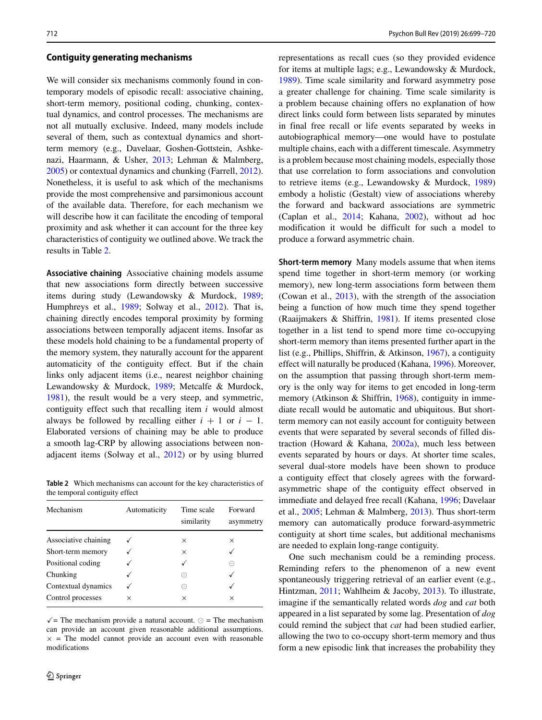## **Contiguity generating mechanisms**

We will consider six mechanisms commonly found in contemporary models of episodic recall: associative chaining, short-term memory, positional coding, chunking, contextual dynamics, and control processes. The mechanisms are not all mutually exclusive. Indeed, many models include several of them, such as contextual dynamics and shortterm memory (e.g., Davelaar, Goshen-Gottstein, Ashkenazi, Haarmann, & Usher, [2013;](#page-19-30) Lehman & Malmberg, [2005\)](#page-19-31) or contextual dynamics and chunking (Farrell, [2012\)](#page-19-29). Nonetheless, it is useful to ask which of the mechanisms provide the most comprehensive and parsimonious account of the available data. Therefore, for each mechanism we will describe how it can facilitate the encoding of temporal proximity and ask whether it can account for the three key characteristics of contiguity we outlined above. We track the results in Table [2.](#page-1-2)

**Associative chaining** Associative chaining models assume that new associations form directly between successive items during study (Lewandowsky & Murdock, [1989;](#page-20-30) Humphreys et al., [1989;](#page-19-32) Solway et al., [2012\)](#page-21-17). That is, chaining directly encodes temporal proximity by forming associations between temporally adjacent items. Insofar as these models hold chaining to be a fundamental property of the memory system, they naturally account for the apparent automaticity of the contiguity effect. But if the chain links only adjacent items (i.e., nearest neighbor chaining Lewandowsky & Murdock, [1989;](#page-20-30) Metcalfe & Murdock, [1981\)](#page-20-31), the result would be a very steep, and symmetric, contiguity effect such that recalling item *i* would almost always be followed by recalling either  $i + 1$  or  $i - 1$ . Elaborated versions of chaining may be able to produce a smooth lag-CRP by allowing associations between nonadjacent items (Solway et al., [2012\)](#page-21-17) or by using blurred

**Table 2** Which mechanisms can account for the key characteristics of the temporal contiguity effect

| Mechanism            | Automaticity | Time scale<br>similarity | Forward<br>asymmetry |
|----------------------|--------------|--------------------------|----------------------|
| Associative chaining |              | $\times$                 | $\times$             |
| Short-term memory    |              | $\times$                 |                      |
| Positional coding    |              |                          | $(\hbox{--})$        |
| Chunking             |              | ⊝                        |                      |
| Contextual dynamics  |              | ⊝                        | √                    |
| Control processes    | X            | X                        | $\times$             |

 $\sqrt{\ }$  = The mechanism provide a natural account.  $\odot$  = The mechanism can provide an account given reasonable additional assumptions.  $x =$ The model cannot provide an account even with reasonable modifications

representations as recall cues (so they provided evidence for items at multiple lags; e.g., Lewandowsky & Murdock, [1989\)](#page-20-30). Time scale similarity and forward asymmetry pose a greater challenge for chaining. Time scale similarity is a problem because chaining offers no explanation of how direct links could form between lists separated by minutes in final free recall or life events separated by weeks in autobiographical memory—one would have to postulate multiple chains, each with a different timescale. Asymmetry is a problem because most chaining models, especially those that use correlation to form associations and convolution to retrieve items (e.g., Lewandowsky & Murdock, [1989\)](#page-20-30) embody a holistic (Gestalt) view of associations whereby the forward and backward associations are symmetric (Caplan et al., [2014;](#page-18-14) Kahana, [2002\)](#page-19-33), without ad hoc modification it would be difficult for such a model to produce a forward asymmetric chain.

**Short-term memory** Many models assume that when items spend time together in short-term memory (or working memory), new long-term associations form between them (Cowan et al., [2013\)](#page-18-15), with the strength of the association being a function of how much time they spend together (Raaijmakers & Shiffrin, [1981\)](#page-20-32). If items presented close together in a list tend to spend more time co-occupying short-term memory than items presented further apart in the list (e.g., Phillips, Shiffrin, & Atkinson, [1967\)](#page-20-33), a contiguity effect will naturally be produced (Kahana, [1996\)](#page-19-1). Moreover, on the assumption that passing through short-term memory is the only way for items to get encoded in long-term memory (Atkinson & Shiffrin, [1968\)](#page-18-16), contiguity in immediate recall would be automatic and ubiquitous. But shortterm memory can not easily account for contiguity between events that were separated by several seconds of filled distraction (Howard & Kahana,  $2002a$ ), much less between events separated by hours or days. At shorter time scales, several dual-store models have been shown to produce a contiguity effect that closely agrees with the forwardasymmetric shape of the contiguity effect observed in immediate and delayed free recall (Kahana, [1996;](#page-19-1) Davelaar et al., [2005;](#page-19-31) Lehman & Malmberg, [2013\)](#page-19-30). Thus short-term memory can automatically produce forward-asymmetric contiguity at short time scales, but additional mechanisms are needed to explain long-range contiguity.

One such mechanism could be a reminding process. Reminding refers to the phenomenon of a new event spontaneously triggering retrieval of an earlier event (e.g., Hintzman, [2011;](#page-19-35) Wahlheim & Jacoby, [2013\)](#page-21-19). To illustrate, imagine if the semantically related words *dog* and *cat* both appeared in a list separated by some lag. Presentation of *dog* could remind the subject that *cat* had been studied earlier, allowing the two to co-occupy short-term memory and thus form a new episodic link that increases the probability they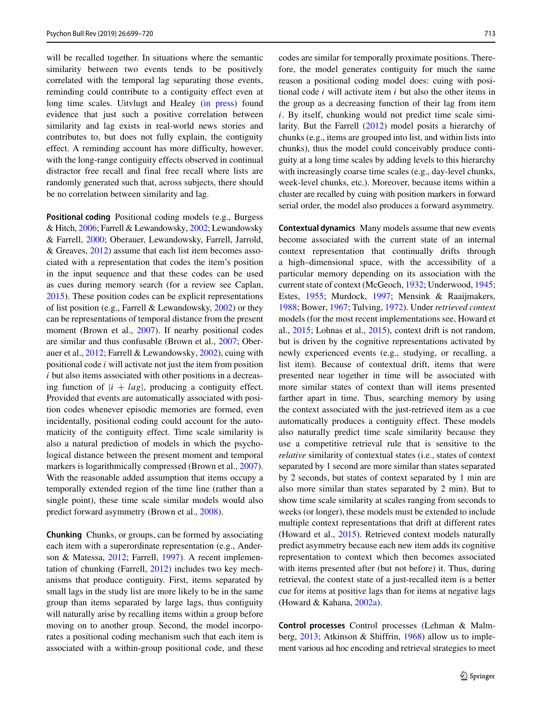will be recalled together. In situations where the semantic similarity between two events tends to be positively correlated with the temporal lag separating those events, reminding could contribute to a contiguity effect even at long time scales. Uitvlugt and Healey [\(in press\)](#page-21-6) found evidence that just such a positive correlation between similarity and lag exists in real-world news stories and contributes to, but does not fully explain, the contiguity effect. A reminding account has more difficulty, however, with the long-range contiguity effects observed in continual distractor free recall and final free recall where lists are randomly generated such that, across subjects, there should be no correlation between similarity and lag.

**Positional coding** Positional coding models (e.g., Burgess & Hitch, [2006;](#page-18-17) Farrell & Lewandowsky, [2002;](#page-19-36) Lewandowsky & Farrell, [2000;](#page-20-34) Oberauer, Lewandowsky, Farrell, Jarrold, & Greaves, [2012\)](#page-20-35) assume that each list item becomes associated with a representation that codes the item's position in the input sequence and that these codes can be used as cues during memory search (for a review see Caplan, [2015\)](#page-18-18). These position codes can be explicit representations of list position (e.g., Farrell & Lewandowsky, [2002\)](#page-19-36) or they can be representations of temporal distance from the present moment (Brown et al., [2007\)](#page-18-19). If nearby positional codes are similar and thus confusable (Brown et al., [2007;](#page-18-19) Oberauer et al., [2012;](#page-20-35) Farrell & Lewandowsky, [2002\)](#page-19-36), cuing with positional code *i* will activate not just the item from position *i* but also items associated with other positions in a decreasing function of  $|i + lag|$ , producing a contiguity effect. Provided that events are automatically associated with position codes whenever episodic memories are formed, even incidentally, positional coding could account for the automaticity of the contiguity effect. Time scale similarity is also a natural prediction of models in which the psychological distance between the present moment and temporal markers is logarithmically compressed (Brown et al., [2007\)](#page-18-19). With the reasonable added assumption that items occupy a temporally extended region of the time line (rather than a single point), these time scale similar models would also predict forward asymmetry (Brown et al., [2008\)](#page-18-20).

**Chunking** Chunks, or groups, can be formed by associating each item with a superordinate representation (e.g., Anderson & Matessa, [2012;](#page-19-29) Farrell, [1997\)](#page-18-21). A recent implementation of chunking (Farrell, [2012\)](#page-19-29) includes two key mechanisms that produce contiguity. First, items separated by small lags in the study list are more likely to be in the same group than items separated by large lags, thus contiguity will naturally arise by recalling items within a group before moving on to another group. Second, the model incorporates a positional coding mechanism such that each item is associated with a within-group positional code, and these codes are similar for temporally proximate positions. Therefore, the model generates contiguity for much the same reason a positional coding model does: cuing with positional code *i* will activate item *i* but also the other items in the group as a decreasing function of their lag from item *i*. By itself, chunking would not predict time scale similarity. But the Farrell [\(2012\)](#page-19-29) model posits a hierarchy of chunks (e.g., items are grouped into list, and within lists into chunks), thus the model could conceivably produce contiguity at a long time scales by adding levels to this hierarchy with increasingly coarse time scales (e.g., day-level chunks, week-level chunks, etc.). Moreover, because items within a cluster are recalled by cuing with position markers in forward serial order, the model also produces a forward asymmetry.

**Contextual dynamics** Many models assume that new events become associated with the current state of an internal context representation that continually drifts through a high–dimensional space, with the accessibility of a particular memory depending on its association with the current state of context (McGeoch, [1932;](#page-20-36) Underwood, [1945;](#page-21-20) Estes, [1955;](#page-19-37) Murdock, [1997;](#page-20-37) Mensink & Raaijmakers, [1988;](#page-20-38) Bower, [1967;](#page-18-22) Tulving, [1972\)](#page-21-21). Under *retrieved context* models (for the most recent implementations see, Howard et al., [2015;](#page-19-28) Lohnas et al., [2015\)](#page-20-29), context drift is not random, but is driven by the cognitive representations activated by newly experienced events (e.g., studying, or recalling, a list item). Because of contextual drift, items that were presented near together in time will be associated with more similar states of context than will items presented farther apart in time. Thus, searching memory by using the context associated with the just-retrieved item as a cue automatically produces a contiguity effect. These models also naturally predict time scale similarity because they use a competitive retrieval rule that is sensitive to the *relative* similarity of contextual states (i.e., states of context separated by 1 second are more similar than states separated by 2 seconds, but states of context separated by 1 min are also more similar than states separated by 2 min). But to show time scale similarity at scales ranging from seconds to weeks (or longer), these models must be extended to include multiple context representations that drift at different rates (Howard et al., [2015\)](#page-19-28). Retrieved context models naturally predict asymmetry because each new item adds its cognitive representation to context which then becomes associated with items presented after (but not before) it. Thus, during retrieval, the context state of a just-recalled item is a better cue for items at positive lags than for items at negative lags (Howard & Kahana, [2002a\)](#page-19-34).

**Control processes** Control processes (Lehman & Malmberg, [2013;](#page-19-30) Atkinson & Shiffrin, [1968\)](#page-18-16) allow us to implement various ad hoc encoding and retrieval strategies to meet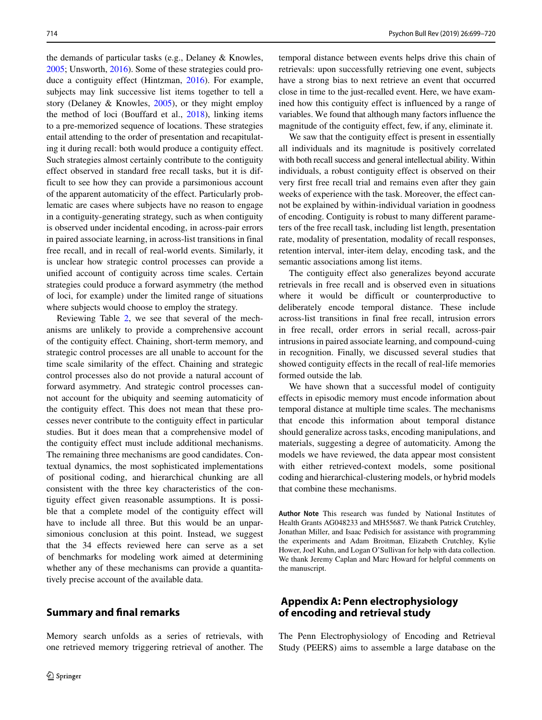the demands of particular tasks (e.g., Delaney & Knowles, [2005;](#page-19-38) Unsworth, [2016\)](#page-21-22). Some of these strategies could produce a contiguity effect (Hintzman, [2016\)](#page-19-14). For example, subjects may link successive list items together to tell a story (Delaney & Knowles, [2005\)](#page-19-38), or they might employ the method of loci (Bouffard et al., [2018\)](#page-18-1), linking items to a pre-memorized sequence of locations. These strategies entail attending to the order of presentation and recapitulating it during recall: both would produce a contiguity effect. Such strategies almost certainly contribute to the contiguity effect observed in standard free recall tasks, but it is difficult to see how they can provide a parsimonious account of the apparent automaticity of the effect. Particularly problematic are cases where subjects have no reason to engage in a contiguity-generating strategy, such as when contiguity is observed under incidental encoding, in across-pair errors in paired associate learning, in across-list transitions in final free recall, and in recall of real-world events. Similarly, it is unclear how strategic control processes can provide a unified account of contiguity across time scales. Certain strategies could produce a forward asymmetry (the method of loci, for example) under the limited range of situations where subjects would choose to employ the strategy.

Reviewing Table [2,](#page-1-2) we see that several of the mechanisms are unlikely to provide a comprehensive account of the contiguity effect. Chaining, short-term memory, and strategic control processes are all unable to account for the time scale similarity of the effect. Chaining and strategic control processes also do not provide a natural account of forward asymmetry. And strategic control processes cannot account for the ubiquity and seeming automaticity of the contiguity effect. This does not mean that these processes never contribute to the contiguity effect in particular studies. But it does mean that a comprehensive model of the contiguity effect must include additional mechanisms. The remaining three mechanisms are good candidates. Contextual dynamics, the most sophisticated implementations of positional coding, and hierarchical chunking are all consistent with the three key characteristics of the contiguity effect given reasonable assumptions. It is possible that a complete model of the contiguity effect will have to include all three. But this would be an unparsimonious conclusion at this point. Instead, we suggest that the 34 effects reviewed here can serve as a set of benchmarks for modeling work aimed at determining whether any of these mechanisms can provide a quantitatively precise account of the available data.

# **Summary and final remarks**

Memory search unfolds as a series of retrievals, with one retrieved memory triggering retrieval of another. The temporal distance between events helps drive this chain of retrievals: upon successfully retrieving one event, subjects have a strong bias to next retrieve an event that occurred close in time to the just-recalled event. Here, we have examined how this contiguity effect is influenced by a range of variables. We found that although many factors influence the magnitude of the contiguity effect, few, if any, eliminate it.

We saw that the contiguity effect is present in essentially all individuals and its magnitude is positively correlated with both recall success and general intellectual ability. Within individuals, a robust contiguity effect is observed on their very first free recall trial and remains even after they gain weeks of experience with the task. Moreover, the effect cannot be explained by within-individual variation in goodness of encoding. Contiguity is robust to many different parameters of the free recall task, including list length, presentation rate, modality of presentation, modality of recall responses, retention interval, inter-item delay, encoding task, and the semantic associations among list items.

The contiguity effect also generalizes beyond accurate retrievals in free recall and is observed even in situations where it would be difficult or counterproductive to deliberately encode temporal distance. These include across-list transitions in final free recall, intrusion errors in free recall, order errors in serial recall, across-pair intrusions in paired associate learning, and compound-cuing in recognition. Finally, we discussed several studies that showed contiguity effects in the recall of real-life memories formed outside the lab.

We have shown that a successful model of contiguity effects in episodic memory must encode information about temporal distance at multiple time scales. The mechanisms that encode this information about temporal distance should generalize across tasks, encoding manipulations, and materials, suggesting a degree of automaticity. Among the models we have reviewed, the data appear most consistent with either retrieved-context models, some positional coding and hierarchical-clustering models, or hybrid models that combine these mechanisms.

**Author Note** This research was funded by National Institutes of Health Grants AG048233 and MH55687. We thank Patrick Crutchley, Jonathan Miller, and Isaac Pedisich for assistance with programming the experiments and Adam Broitman, Elizabeth Crutchley, Kylie Hower, Joel Kuhn, and Logan O'Sullivan for help with data collection. We thank Jeremy Caplan and Marc Howard for helpful comments on the manuscript.

# <span id="page-15-0"></span>**Appendix A: Penn electrophysiology of encoding and retrieval study**

The Penn Electrophysiology of Encoding and Retrieval Study (PEERS) aims to assemble a large database on the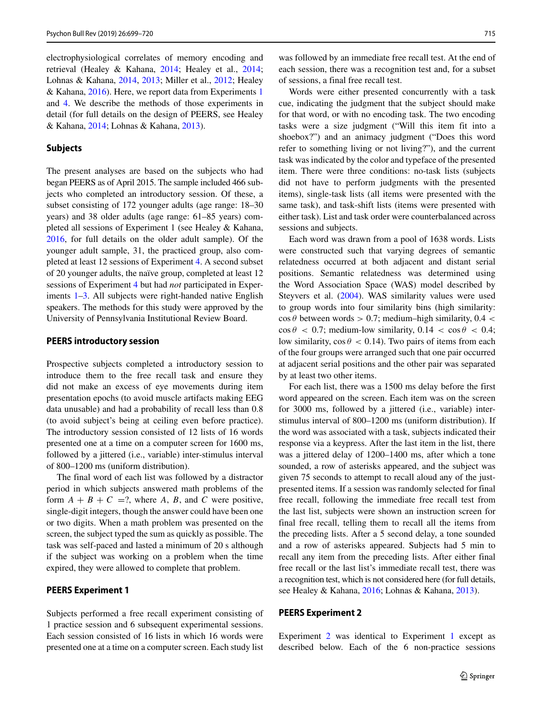electrophysiological correlates of memory encoding and retrieval (Healey & Kahana, [2014;](#page-19-0) Healey et al., [2014;](#page-19-3) Lohnas & Kahana, [2014,](#page-20-2) [2013;](#page-20-39) Miller et al., [2012;](#page-20-3) Healey & Kahana, [2016\)](#page-19-18). Here, we report data from Experiments [1](#page-16-0) and [4.](#page-17-0) We describe the methods of those experiments in detail (for full details on the design of PEERS, see Healey & Kahana, [2014;](#page-19-0) Lohnas & Kahana, [2013\)](#page-20-39).

# **Subjects**

The present analyses are based on the subjects who had began PEERS as of April 2015. The sample included 466 subjects who completed an introductory session. Of these, a subset consisting of 172 younger adults (age range: 18–30 years) and 38 older adults (age range: 61–85 years) completed all sessions of Experiment 1 (see Healey & Kahana, [2016,](#page-19-18) for full details on the older adult sample). Of the younger adult sample, 31, the practiced group, also completed at least 12 sessions of Experiment [4.](#page-17-0) A second subset of 20 younger adults, the naïve group, completed at least 12 sessions of Experiment [4](#page-17-0) but had *not* participated in Experiments [1](#page-16-0)[–3.](#page-17-1) All subjects were right-handed native English speakers. The methods for this study were approved by the University of Pennsylvania Institutional Review Board.

# **PEERS introductory session**

Prospective subjects completed a introductory session to introduce them to the free recall task and ensure they did not make an excess of eye movements during item presentation epochs (to avoid muscle artifacts making EEG data unusable) and had a probability of recall less than 0.8 (to avoid subject's being at ceiling even before practice). The introductory session consisted of 12 lists of 16 words presented one at a time on a computer screen for 1600 ms, followed by a jittered (i.e., variable) inter-stimulus interval of 800–1200 ms (uniform distribution).

The final word of each list was followed by a distractor period in which subjects answered math problems of the form  $A + B + C = ?$ , where A, B, and C were positive, single-digit integers, though the answer could have been one or two digits. When a math problem was presented on the screen, the subject typed the sum as quickly as possible. The task was self-paced and lasted a minimum of 20 s although if the subject was working on a problem when the time expired, they were allowed to complete that problem.

### **PEERS Experiment 1**

<span id="page-16-0"></span>Subjects performed a free recall experiment consisting of 1 practice session and 6 subsequent experimental sessions. Each session consisted of 16 lists in which 16 words were presented one at a time on a computer screen. Each study list

was followed by an immediate free recall test. At the end of each session, there was a recognition test and, for a subset of sessions, a final free recall test.

Words were either presented concurrently with a task cue, indicating the judgment that the subject should make for that word, or with no encoding task. The two encoding tasks were a size judgment ("Will this item fit into a shoebox?") and an animacy judgment ("Does this word refer to something living or not living?"), and the current task was indicated by the color and typeface of the presented item. There were three conditions: no-task lists (subjects did not have to perform judgments with the presented items), single-task lists (all items were presented with the same task), and task-shift lists (items were presented with either task). List and task order were counterbalanced across sessions and subjects.

Each word was drawn from a pool of 1638 words. Lists were constructed such that varying degrees of semantic relatedness occurred at both adjacent and distant serial positions. Semantic relatedness was determined using the Word Association Space (WAS) model described by Steyvers et al. [\(2004\)](#page-21-23). WAS similarity values were used to group words into four similarity bins (high similarity:  $\cos \theta$  between words  $> 0.7$ ; medium–high similarity,  $0.4 <$  $\cos \theta$  < 0.7; medium-low similarity,  $0.14 < \cos \theta < 0.4$ ; low similarity,  $\cos \theta < 0.14$ ). Two pairs of items from each of the four groups were arranged such that one pair occurred at adjacent serial positions and the other pair was separated by at least two other items.

For each list, there was a 1500 ms delay before the first word appeared on the screen. Each item was on the screen for 3000 ms, followed by a jittered (i.e., variable) interstimulus interval of 800–1200 ms (uniform distribution). If the word was associated with a task, subjects indicated their response via a keypress. After the last item in the list, there was a jittered delay of 1200–1400 ms, after which a tone sounded, a row of asterisks appeared, and the subject was given 75 seconds to attempt to recall aloud any of the justpresented items. If a session was randomly selected for final free recall, following the immediate free recall test from the last list, subjects were shown an instruction screen for final free recall, telling them to recall all the items from the preceding lists. After a 5 second delay, a tone sounded and a row of asterisks appeared. Subjects had 5 min to recall any item from the preceding lists. After either final free recall or the last list's immediate recall test, there was a recognition test, which is not considered here (for full details, see Healey & Kahana, [2016;](#page-19-18) Lohnas & Kahana, [2013\)](#page-20-39).

#### **PEERS Experiment 2**

<span id="page-16-1"></span>Experiment [2](#page-16-1) was identical to Experiment [1](#page-16-0) except as described below. Each of the 6 non-practice sessions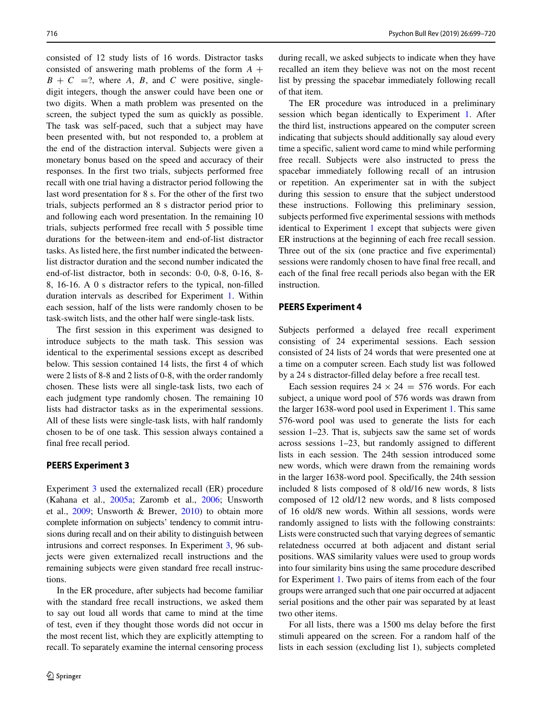consisted of 12 study lists of 16 words. Distractor tasks consisted of answering math problems of the form  $A +$  $B + C =$ ?, where *A*, *B*, and *C* were positive, singledigit integers, though the answer could have been one or two digits. When a math problem was presented on the screen, the subject typed the sum as quickly as possible. The task was self-paced, such that a subject may have been presented with, but not responded to, a problem at the end of the distraction interval. Subjects were given a monetary bonus based on the speed and accuracy of their responses. In the first two trials, subjects performed free recall with one trial having a distractor period following the last word presentation for 8 s. For the other of the first two trials, subjects performed an 8 s distractor period prior to and following each word presentation. In the remaining 10 trials, subjects performed free recall with 5 possible time durations for the between-item and end-of-list distractor tasks. As listed here, the first number indicated the betweenlist distractor duration and the second number indicated the end-of-list distractor, both in seconds: 0-0, 0-8, 0-16, 8- 8, 16-16. A 0 s distractor refers to the typical, non-filled duration intervals as described for Experiment [1.](#page-16-0) Within each session, half of the lists were randomly chosen to be task-switch lists, and the other half were single-task lists.

The first session in this experiment was designed to introduce subjects to the math task. This session was identical to the experimental sessions except as described below. This session contained 14 lists, the first 4 of which were 2 lists of 8-8 and 2 lists of 0-8, with the order randomly chosen. These lists were all single-task lists, two each of each judgment type randomly chosen. The remaining 10 lists had distractor tasks as in the experimental sessions. All of these lists were single-task lists, with half randomly chosen to be of one task. This session always contained a final free recall period.

# **PEERS Experiment 3**

<span id="page-17-1"></span>Experiment [3](#page-17-1) used the externalized recall (ER) procedure (Kahana et al., [2005a;](#page-19-39) Zaromb et al., [2006;](#page-21-4) Unsworth et al., [2009;](#page-21-24) Unsworth & Brewer, [2010\)](#page-21-25) to obtain more complete information on subjects' tendency to commit intrusions during recall and on their ability to distinguish between intrusions and correct responses. In Experiment [3,](#page-17-1) 96 subjects were given externalized recall instructions and the remaining subjects were given standard free recall instructions.

In the ER procedure, after subjects had become familiar with the standard free recall instructions, we asked them to say out loud all words that came to mind at the time of test, even if they thought those words did not occur in the most recent list, which they are explicitly attempting to recall. To separately examine the internal censoring process during recall, we asked subjects to indicate when they have recalled an item they believe was not on the most recent list by pressing the spacebar immediately following recall of that item.

The ER procedure was introduced in a preliminary session which began identically to Experiment [1.](#page-16-0) After the third list, instructions appeared on the computer screen indicating that subjects should additionally say aloud every time a specific, salient word came to mind while performing free recall. Subjects were also instructed to press the spacebar immediately following recall of an intrusion or repetition. An experimenter sat in with the subject during this session to ensure that the subject understood these instructions. Following this preliminary session, subjects performed five experimental sessions with methods identical to Experiment [1](#page-16-0) except that subjects were given ER instructions at the beginning of each free recall session. Three out of the six (one practice and five experimental) sessions were randomly chosen to have final free recall, and each of the final free recall periods also began with the ER instruction.

# **PEERS Experiment 4**

<span id="page-17-0"></span>Subjects performed a delayed free recall experiment consisting of 24 experimental sessions. Each session consisted of 24 lists of 24 words that were presented one at a time on a computer screen. Each study list was followed by a 24 s distractor-filled delay before a free recall test.

Each session requires  $24 \times 24 = 576$  words. For each subject, a unique word pool of 576 words was drawn from the larger 1638-word pool used in Experiment [1.](#page-16-0) This same 576-word pool was used to generate the lists for each session 1–23. That is, subjects saw the same set of words across sessions 1–23, but randomly assigned to different lists in each session. The 24th session introduced some new words, which were drawn from the remaining words in the larger 1638-word pool. Specifically, the 24th session included 8 lists composed of 8 old/16 new words, 8 lists composed of 12 old/12 new words, and 8 lists composed of 16 old/8 new words. Within all sessions, words were randomly assigned to lists with the following constraints: Lists were constructed such that varying degrees of semantic relatedness occurred at both adjacent and distant serial positions. WAS similarity values were used to group words into four similarity bins using the same procedure described for Experiment [1.](#page-16-0) Two pairs of items from each of the four groups were arranged such that one pair occurred at adjacent serial positions and the other pair was separated by at least two other items.

For all lists, there was a 1500 ms delay before the first stimuli appeared on the screen. For a random half of the lists in each session (excluding list 1), subjects completed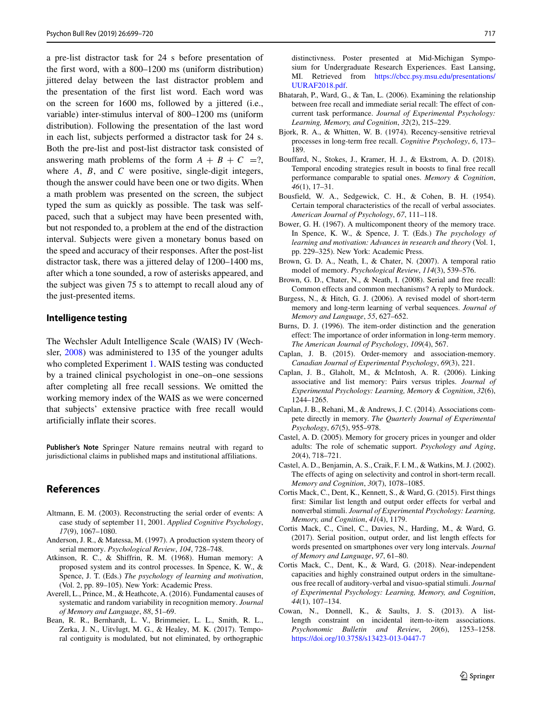a pre-list distractor task for 24 s before presentation of the first word, with a 800–1200 ms (uniform distribution) iittered delay between the last distractor problem and the presentation of the first list word. Each word was on the screen for 1600 ms, followed by a jittered (i.e., variable) inter-stimulus interval of 800–1200 ms (uniform distribution). Following the presentation of the last word in each list, subjects performed a distractor task for 24 s. Both the pre-list and post-list distractor task consisted of answering math problems of the form  $A + B + C = ?$ , where *A*, *B*, and *C* were positive, single-digit integers, though the answer could have been one or two digits. When a math problem was presented on the screen, the subject typed the sum as quickly as possible. The task was selfpaced, such that a subject may have been presented with, but not responded to, a problem at the end of the distraction interval. Subjects were given a monetary bonus based on the speed and accuracy of their responses. After the post-list distractor task, there was a jittered delay of 1200–1400 ms, after which a tone sounded, a row of asterisks appeared, and the subject was given 75 s to attempt to recall aloud any of the just-presented items.

# **Intelligence testing**

The Wechsler Adult Intelligence Scale (WAIS) IV (Wechsler, [2008\)](#page-21-26) was administered to 135 of the younger adults who completed Experiment [1.](#page-16-0) WAIS testing was conducted by a trained clinical psychologist in one–on–one sessions after completing all free recall sessions. We omitted the working memory index of the WAIS as we were concerned that subjects' extensive practice with free recall would artificially inflate their scores.

**Publisher's Note** Springer Nature remains neutral with regard to jurisdictional claims in published maps and institutional affiliations.

# **References**

- <span id="page-18-13"></span>Altmann, E. M. (2003). Reconstructing the serial order of events: A case study of september 11, 2001. *Applied Cognitive Psychology*, *17*(9), 1067–1080.
- <span id="page-18-21"></span>Anderson, J. R., & Matessa, M. (1997). A production system theory of serial memory. *Psychological Review*, *104*, 728–748.
- <span id="page-18-16"></span>Atkinson, R. C., & Shiffrin, R. M. (1968). Human memory: A proposed system and its control processes. In Spence, K. W., & Spence, J. T. (Eds.) *The psychology of learning and motivation*, (Vol. 2, pp. 89–105). New York: Academic Press.
- <span id="page-18-10"></span>Averell, L., Prince, M., & Heathcote, A. (2016). Fundamental causes of systematic and random variability in recognition memory. *Journal of Memory and Language*, *88*, 51–69.
- <span id="page-18-5"></span>Bean, R. R., Bernhardt, L. V., Brimmeier, L. L., Smith, R. L., Zerka, J. N., Uitvlugt, M. G., & Healey, M. K. (2017). Temporal contiguity is modulated, but not eliminated, by orthographic

distinctivness. Poster presented at Mid-Michigan Symposium for Undergraduate Research Experiences. East Lansing, MI. Retrieved from [https://cbcc.psy.msu.edu/presentations/](https://cbcc.psy.msu.edu/presentations/UURAF2018.pdf) [UURAF2018.pdf.](https://cbcc.psy.msu.edu/presentations/UURAF2018.pdf)

- <span id="page-18-4"></span>Bhatarah, P., Ward, G., & Tan, L. (2006). Examining the relationship between free recall and immediate serial recall: The effect of concurrent task performance. *Journal of Experimental Psychology: Learning, Memory, and Cognition*, *32*(2), 215–229.
- <span id="page-18-3"></span>Bjork, R. A., & Whitten, W. B. (1974). Recency-sensitive retrieval processes in long-term free recall. *Cognitive Psychology*, *6*, 173– 189.
- <span id="page-18-1"></span>Bouffard, N., Stokes, J., Kramer, H. J., & Ekstrom, A. D. (2018). Temporal encoding strategies result in boosts to final free recall performance comparable to spatial ones. *Memory & Cognition*, *46*(1), 17–31.
- <span id="page-18-8"></span>Bousfield, W. A., Sedgewick, C. H., & Cohen, B. H. (1954). Certain temporal characteristics of the recall of verbal associates. *American Journal of Psychology*, *67*, 111–118.
- <span id="page-18-22"></span>Bower, G. H. (1967). A multicomponent theory of the memory trace. In Spence, K. W., & Spence, J. T. (Eds.) *The psychology of learning and motivation: Advances in research and theory* (Vol. 1, pp. 229–325). New York: Academic Press.
- <span id="page-18-19"></span>Brown, G. D. A., Neath, I., & Chater, N. (2007). A temporal ratio model of memory. *Psychological Review*, *114*(3), 539–576.
- <span id="page-18-20"></span>Brown, G. D., Chater, N., & Neath, I. (2008). Serial and free recall: Common effects and common mechanisms? A reply to Murdock.
- <span id="page-18-17"></span>Burgess, N., & Hitch, G. J. (2006). A revised model of short-term memory and long-term learning of verbal sequences. *Journal of Memory and Language*, *55*, 627–652.
- <span id="page-18-9"></span>Burns, D. J. (1996). The item-order distinction and the generation effect: The importance of order information in long-term memory. *The American Journal of Psychology*, *109*(4), 567.
- <span id="page-18-18"></span>Caplan, J. B. (2015). Order-memory and association-memory. *Canadian Journal of Experimental Psychology*, *69*(3), 221.
- <span id="page-18-11"></span>Caplan, J. B., Glaholt, M., & McIntosh, A. R. (2006). Linking associative and list memory: Pairs versus triples. *Journal of Experimental Psychology: Learning, Memory & Cognition*, *32*(6), 1244–1265.
- <span id="page-18-14"></span>Caplan, J. B., Rehani, M., & Andrews, J. C. (2014). Associations compete directly in memory. *The Quarterly Journal of Experimental Psychology*, *67*(5), 955–978.
- <span id="page-18-6"></span>Castel, A. D. (2005). Memory for grocery prices in younger and older adults: The role of schematic support. *Psychology and Aging*, *20*(4), 718–721.
- <span id="page-18-7"></span>Castel, A. D., Benjamin, A. S., Craik, F. I. M., & Watkins, M. J. (2002). The effects of aging on selectivity and control in short-term recall. *Memory and Cognition*, *30*(7), 1078–1085.
- <span id="page-18-2"></span>Cortis Mack, C., Dent, K., Kennett, S., & Ward, G. (2015). First things first: Similar list length and output order effects for verbal and nonverbal stimuli. *Journal of Experimental Psychology: Learning, Memory, and Cognition*, *41*(4), 1179.
- <span id="page-18-12"></span>Cortis Mack, C., Cinel, C., Davies, N., Harding, M., & Ward, G. (2017). Serial position, output order, and list length effects for words presented on smartphones over very long intervals. *Journal of Memory and Language*, *97*, 61–80.
- <span id="page-18-0"></span>Cortis Mack, C., Dent, K., & Ward, G. (2018). Near-independent capacities and highly constrained output orders in the simultaneous free recall of auditory-verbal and visuo-spatial stimuli. *Journal of Experimental Psychology: Learning, Memory, and Cognition*, *44*(1), 107–134.
- <span id="page-18-15"></span>Cowan, N., Donnell, K., & Saults, J. S. (2013). A listlength constraint on incidental item-to-item associations. *Psychonomic Bulletin and Review*, *20*(6), 1253–1258. <https://doi.org/10.3758/s13423-013-0447-7>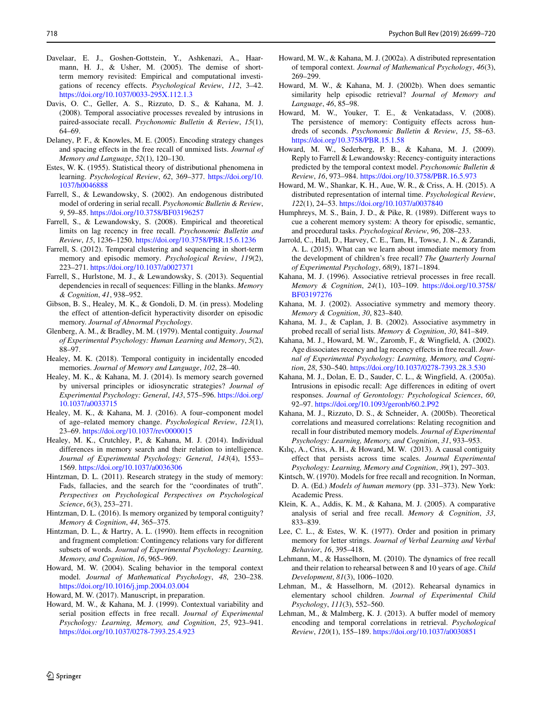- <span id="page-19-31"></span>Davelaar, E. J., Goshen-Gottstein, Y., Ashkenazi, A., Haarmann, H. J., & Usher, M. (2005). The demise of shortterm memory revisited: Empirical and computational investigations of recency effects. *Psychological Review*, *112*, 3–42. <https://doi.org/10.1037/0033-295X.112.1.3>
- <span id="page-19-8"></span>Davis, O. C., Geller, A. S., Rizzuto, D. S., & Kahana, M. J. (2008). Temporal associative processes revealed by intrusions in paired-associate recall. *Psychonomic Bulletin & Review*, *15*(1), 64–69.
- <span id="page-19-38"></span>Delaney, P. F., & Knowles, M. E. (2005). Encoding strategy changes and spacing effects in the free recall of unmixed lists. *Journal of Memory and Language*, *52*(1), 120–130.
- <span id="page-19-37"></span>Estes, W. K. (1955). Statistical theory of distributional phenomena in learning. *Psychological Review*, *62*, 369–377. [https://doi.org/10.](https://doi.org/10.1037/h0046888) [1037/h0046888](https://doi.org/10.1037/h0046888)
- <span id="page-19-36"></span>Farrell, S., & Lewandowsky, S. (2002). An endogenous distributed model of ordering in serial recall. *Psychonomic Bulletin & Review*, *9*, 59–85. <https://doi.org/10.3758/BF03196257>
- <span id="page-19-10"></span>Farrell, S., & Lewandowsky, S. (2008). Empirical and theoretical limits on lag recency in free recall. *Psychonomic Bulletin and Review*, *15*, 1236–1250. <https://doi.org/10.3758/PBR.15.6.1236>
- <span id="page-19-29"></span>Farrell, S. (2012). Temporal clustering and sequencing in short-term memory and episodic memory. *Psychological Review*, *119*(2), 223–271. <https://doi.org/10.1037/a0027371>
- <span id="page-19-26"></span>Farrell, S., Hurlstone, M. J., & Lewandowsky, S. (2013). Sequential dependencies in recall of sequences: Filling in the blanks. *Memory & Cognition*, *41*, 938–952.
- <span id="page-19-19"></span>Gibson, B. S., Healey, M. K., & Gondoli, D. M. (in press). Modeling the effect of attention-deficit hyperactivity disorder on episodic memory. *Journal of Abnormal Psychology*.
- <span id="page-19-23"></span>Glenberg, A. M., & Bradley, M. M. (1979). Mental contiguity. *Journal of Experimental Psychology: Human Learning and Memory*, *5*(2), 88–97.
- <span id="page-19-6"></span>Healey, M. K. (2018). Temporal contiguity in incidentally encoded memories. *Journal of Memory and Language*, *102*, 28–40.
- <span id="page-19-0"></span>Healey, M. K., & Kahana, M. J. (2014). Is memory search governed by universal principles or idiosyncratic strategies? *Journal of Experimental Psychology: General*, *143*, 575–596. [https://doi.org/](https://doi.org/10.1037/a0033715) [10.1037/a0033715](https://doi.org/10.1037/a0033715)
- <span id="page-19-18"></span>Healey, M. K., & Kahana, M. J. (2016). A four–component model of age–related memory change. *Psychological Review*, *123*(1), 23–69. <https://doi.org/10.1037/rev0000015>
- <span id="page-19-3"></span>Healey, M. K., Crutchley, P., & Kahana, M. J. (2014). Individual differences in memory search and their relation to intelligence. *Journal of Experimental Psychology: General*, *143*(4), 1553– 1569. <https://doi.org/10.1037/a0036306>
- <span id="page-19-35"></span>Hintzman, D. L. (2011). Research strategy in the study of memory: Fads, fallacies, and the search for the "coordinates of truth". *Perspectives on Psychological Perspectives on Psychological Science*, *6*(3), 253–271.
- <span id="page-19-14"></span>Hintzman, D. L. (2016). Is memory organized by temporal contiguity? *Memory & Cognition*, *44*, 365–375.
- <span id="page-19-13"></span>Hintzman, D. L., & Hartry, A. L. (1990). Item effects in recognition and fragment completion: Contingency relations vary for different subsets of words. *Journal of Experimental Psychology: Learning, Memory, and Cognition*, *16*, 965–969.
- <span id="page-19-20"></span>Howard, M. W. (2004). Scaling behavior in the temporal context model. *Journal of Mathematical Psychology*, *48*, 230–238. <https://doi.org/10.1016/j.jmp.2004.03.004>

<span id="page-19-4"></span>Howard, M. W. (2017). Manuscript, in preparation.

<span id="page-19-5"></span>Howard, M. W., & Kahana, M. J. (1999). Contextual variability and serial position effects in free recall. *Journal of Experimental Psychology: Learning, Memory, and Cognition*, *25*, 923–941. <https://doi.org/10.1037/0278-7393.25.4.923>

- <span id="page-19-34"></span>Howard, M. W., & Kahana, M. J. (2002a). A distributed representation of temporal context. *Journal of Mathematical Psychology*, *46*(3), 269–299.
- <span id="page-19-22"></span>Howard, M. W., & Kahana, M. J. (2002b). When does semantic similarity help episodic retrieval? *Journal of Memory and Language*, *46*, 85–98.
- <span id="page-19-9"></span>Howard, M. W., Youker, T. E., & Venkatadass, V. (2008). The persistence of memory: Contiguity effects across hundreds of seconds. *Psychonomic Bulletin & Review*, *15*, 58–63. <https://doi.org/10.3758/PBR.15.1.58>
- <span id="page-19-11"></span>Howard, M. W., Sederberg, P. B., & Kahana, M. J. (2009). Reply to Farrell & Lewandowsky: Recency-contiguity interactions predicted by the temporal context model. *Psychonomic Bulletin & Review*, *16*, 973–984. <https://doi.org/10.3758/PBR.16.5.973>
- <span id="page-19-28"></span>Howard, M. W., Shankar, K. H., Aue, W. R., & Criss, A. H. (2015). A distributed representation of internal time. *Psychological Review*, *122*(1), 24–53. <https://doi.org/10.1037/a0037840>
- <span id="page-19-32"></span>Humphreys, M. S., Bain, J. D., & Pike, R. (1989). Different ways to cue a coherent memory system: A theory for episodic, semantic, and procedural tasks. *Psychological Review*, *96*, 208–233.
- <span id="page-19-17"></span>Jarrold, C., Hall, D., Harvey, C. E., Tam, H., Towse, J. N., & Zarandi, A. L. (2015). What can we learn about immediate memory from the development of children's free recall? *The Quarterly Journal of Experimental Psychology*, *68*(9), 1871–1894.
- <span id="page-19-1"></span>Kahana, M. J. (1996). Associative retrieval processes in free recall. *Memory & Cognition*, *24*(1), 103–109. [https://doi.org/10.3758/](https://doi.org/10.3758/BF03197276) [BF03197276](https://doi.org/10.3758/BF03197276)
- <span id="page-19-33"></span>Kahana, M. J. (2002). Associative symmetry and memory theory. *Memory & Cognition*, *30*, 823–840.
- <span id="page-19-25"></span>Kahana, M. J., & Caplan, J. B. (2002). Associative asymmetry in probed recall of serial lists. *Memory & Cognition*, *30*, 841–849.
- <span id="page-19-2"></span>Kahana, M. J., Howard, M. W., Zaromb, F., & Wingfield, A. (2002). Age dissociates recency and lag recency effects in free recall. *Journal of Experimental Psychology: Learning, Memory, and Cognition*, *28*, 530–540. <https://doi.org/10.1037/0278-7393.28.3.530>
- <span id="page-19-39"></span>Kahana, M. J., Dolan, E. D., Sauder, C. L., & Wingfield, A. (2005a). Intrusions in episodic recall: Age differences in editing of overt responses. *Journal of Gerontology: Psychological Sciences*, *60*, 92–97. <https://doi.org/10.1093/geronb/60.2.P92>
- <span id="page-19-12"></span>Kahana, M. J., Rizzuto, D. S., & Schneider, A. (2005b). Theoretical correlations and measured correlations: Relating recognition and recall in four distributed memory models. *Journal of Experimental Psychology: Learning, Memory, and Cognition*, *31*, 933–953.
- <span id="page-19-27"></span>Kılıç, A., Criss, A. H., & Howard, M. W. (2013). A causal contiguity effect that persists across time scales. *Journal Experimental Psychology: Learning, Memory and Cognition*, *39*(1), 297–303.
- <span id="page-19-21"></span>Kintsch, W. (1970). Models for free recall and recognition. In Norman, D. A. (Ed.) *Models of human memory* (pp. 331–373). New York: Academic Press.
- <span id="page-19-7"></span>Klein, K. A., Addis, K. M., & Kahana, M. J. (2005). A comparative analysis of serial and free recall. *Memory & Cognition*, *33*, 833–839.
- <span id="page-19-24"></span>Lee, C. L., & Estes, W. K. (1977). Order and position in primary memory for letter strings. *Journal of Verbal Learning and Verbal Behavior*, *16*, 395–418.
- <span id="page-19-15"></span>Lehmann, M., & Hasselhorn, M. (2010). The dynamics of free recall and their relation to rehearsal between 8 and 10 years of age. *Child Development*, *81*(3), 1006–1020.
- <span id="page-19-16"></span>Lehman, M., & Hasselhorn, M. (2012). Rehearsal dynamics in elementary school children. *Journal of Experimental Child Psychology*, *111*(3), 552–560.
- <span id="page-19-30"></span>Lehman, M., & Malmberg, K. J. (2013). A buffer model of memory encoding and temporal correlations in retrieval. *Psychological Review*, *120*(1), 155–189. <https://doi.org/10.1037/a0030851>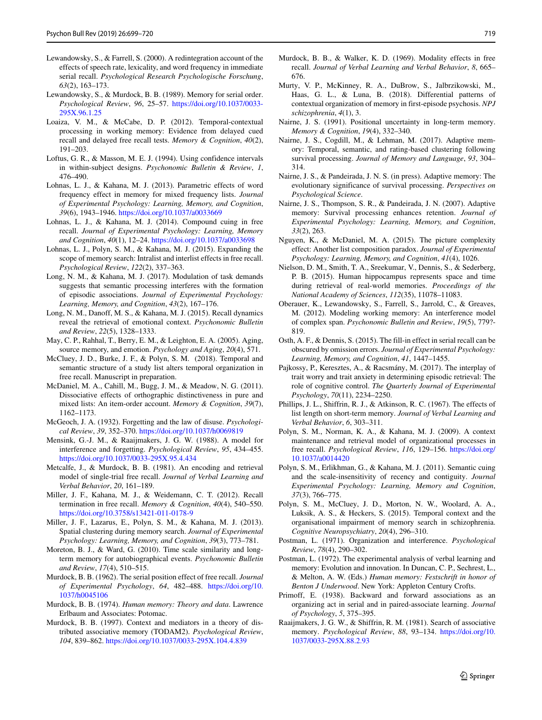- <span id="page-20-34"></span>Lewandowsky, S., & Farrell, S. (2000). A redintegration account of the effects of speech rate, lexicality, and word frequency in immediate serial recall. *Psychological Research Psychologische Forschung*, *63*(2), 163–173.
- <span id="page-20-30"></span>Lewandowsky, S., & Murdock, B. B. (1989). Memory for serial order. *Psychological Review*, *96*, 25–57. [https://doi.org/10.1037/0033-](https://doi.org/10.1037/0033-295X.96.1.25) [295X.96.1.25](https://doi.org/10.1037/0033-295X.96.1.25)
- <span id="page-20-27"></span>Loaiza, V. M., & McCabe, D. P. (2012). Temporal-contextual processing in working memory: Evidence from delayed cued recall and delayed free recall tests. *Memory & Cognition*, *40*(2), 191–203.
- <span id="page-20-12"></span>Loftus, G. R., & Masson, M. E. J. (1994). Using confidence intervals in within-subject designs. *Psychonomic Bulletin & Review*, *1*, 476–490.
- <span id="page-20-39"></span>Lohnas, L. J., & Kahana, M. J. (2013). Parametric effects of word frequency effect in memory for mixed frequency lists. *Journal of Experimental Psychology: Learning, Memory, and Cognition*, *39*(6), 1943–1946. <https://doi.org/10.1037/a0033669>
- <span id="page-20-2"></span>Lohnas, L. J., & Kahana, M. J. (2014). Compound cuing in free recall. *Journal of Experimental Psychology: Learning, Memory and Cognition*, *40*(1), 12–24. <https://doi.org/10.1037/a0033698>
- <span id="page-20-29"></span>Lohnas, L. J., Polyn, S. M., & Kahana, M. J. (2015). Expanding the scope of memory search: Intralist and interlist effects in free recall. *Psychological Review*, *122*(2), 337–363.
- <span id="page-20-9"></span>Long, N. M., & Kahana, M. J. (2017). Modulation of task demands suggests that semantic processing interferes with the formation of episodic associations. *Journal of Experimental Psychology: Learning, Memory, and Cognition*, *43*(2), 167–176.
- <span id="page-20-18"></span>Long, N. M., Danoff, M. S., & Kahana, M. J. (2015). Recall dynamics reveal the retrieval of emotional context. *Psychonomic Bulletin and Review*, *22*(5), 1328–1333.
- <span id="page-20-19"></span>May, C. P., Rahhal, T., Berry, E. M., & Leighton, E. A. (2005). Aging, source memory, and emotion. *Psychology and Aging*, *20*(4), 571.
- <span id="page-20-15"></span>McCluey, J. D., Burke, J. F., & Polyn, S. M. (2018). Temporal and semantic structure of a study list alters temporal organization in free recall. Manuscript in preparation.
- <span id="page-20-7"></span>McDaniel, M. A., Cahill, M., Bugg, J. M., & Meadow, N. G. (2011). Dissociative effects of orthographic distinctiveness in pure and mixed lists: An item-order account. *Memory & Cognition*, *39*(7), 1162–1173.
- <span id="page-20-36"></span>McGeoch, J. A. (1932). Forgetting and the law of disuse. *Psychological Review*, *39*, 352–370. <https://doi.org/10.1037/h0069819>
- <span id="page-20-38"></span>Mensink, G.-J. M., & Raaijmakers, J. G. W. (1988). A model for interference and forgetting. *Psychological Review*, *95*, 434–455. <https://doi.org/10.1037/0033-295X.95.4.434>
- <span id="page-20-31"></span>Metcalfe, J., & Murdock, B. B. (1981). An encoding and retrieval model of single-trial free recall. *Journal of Verbal Learning and Verbal Behavior*, *20*, 161–189.
- <span id="page-20-3"></span>Miller, J. F., Kahana, M. J., & Weidemann, C. T. (2012). Recall termination in free recall. *Memory & Cognition*, *40*(4), 540–550. <https://doi.org/10.3758/s13421-011-0178-9>
- <span id="page-20-20"></span>Miller, J. F., Lazarus, E., Polyn, S. M., & Kahana, M. J. (2013). Spatial clustering during memory search. *Journal of Experimental Psychology: Learning, Memory, and Cognition*, *39*(3), 773–781.
- <span id="page-20-11"></span>Moreton, B. J., & Ward, G. (2010). Time scale similarity and longterm memory for autobiographical events. *Psychonomic Bulletin and Review*, *17*(4), 510–515.
- <span id="page-20-14"></span>Murdock, B. B. (1962). The serial position effect of free recall. *Journal of Experimental Psychology*, *64*, 482–488. [https://doi.org/10.](https://doi.org/10.1037/h0045106) [1037/h0045106](https://doi.org/10.1037/h0045106)
- <span id="page-20-26"></span>Murdock, B. B. (1974). *Human memory: Theory and data*. Lawrence Erlbaum and Associates: Potomac.
- <span id="page-20-37"></span>Murdock, B. B. (1997). Context and mediators in a theory of distributed associative memory (TODAM2). *Psychological Review*, *104*, 839–862. <https://doi.org/10.1037/0033-295X.104.4.839>
- <span id="page-20-13"></span>Murdock, B. B., & Walker, K. D. (1969). Modality effects in free recall. *Journal of Verbal Learning and Verbal Behavior*, *8*, 665– 676.
- <span id="page-20-17"></span>Murty, V. P., McKinney, R. A., DuBrow, S., Jalbrzikowski, M., Haas, G. L., & Luna, B. (2018). Differential patterns of contextual organization of memory in first-episode psychosis. *NPJ schizophrenia*, *4*(1), 3.
- <span id="page-20-21"></span>Nairne, J. S. (1991). Positional uncertainty in long-term memory. *Memory & Cognition*, *19*(4), 332–340.
- <span id="page-20-10"></span>Nairne, J. S., Cogdill, M., & Lehman, M. (2017). Adaptive memory: Temporal, semantic, and rating-based clustering following survival processing. *Journal of Memory and Language*, *93*, 304– 314.
- <span id="page-20-23"></span>Nairne, J. S., & Pandeirada, J. N. S. (in press). Adaptive memory: The evolutionary significance of survival processing. *Perspectives on Psychological Science*.
- <span id="page-20-22"></span>Nairne, J. S., Thompson, S. R., & Pandeirada, J. N. (2007). Adaptive memory: Survival processing enhances retention. *Journal of Experimental Psychology: Learning, Memory, and Cognition*, *33*(2), 263.
- <span id="page-20-6"></span>Nguyen, K., & McDaniel, M. A. (2015). The picture complexity effect: Another list composition paradox. *Journal of Experimental Psychology: Learning, Memory, and Cognition*, *41*(4), 1026.
- <span id="page-20-28"></span>Nielson, D. M., Smith, T. A., Sreekumar, V., Dennis, S., & Sederberg, P. B. (2015). Human hippocampus represents space and time during retrieval of real-world memories. *Proceedings of the National Academy of Sciences*, *112*(35), 11078–11083.
- <span id="page-20-35"></span>Oberauer, K., Lewandowsky, S., Farrell, S., Jarrold, C., & Greaves, M. (2012). Modeling working memory: An interference model of complex span. *Psychonomic Bulletin and Review*, *19*(5), 779?- 819.
- <span id="page-20-24"></span>Osth, A. F., & Dennis, S. (2015). The fill-in effect in serial recall can be obscured by omission errors. *Journal of Experimental Psychology: Learning, Memory, and Cognition*, *41*, 1447–1455.
- <span id="page-20-5"></span>Pajkossy, P., Keresztes, A., & Racsmány, M. (2017). The interplay of trait worry and trait anxiety in determining episodic retrieval: The role of cognitive control. *The Quarterly Journal of Experimental Psychology*, *70*(11), 2234–2250.
- <span id="page-20-33"></span>Phillips, J. L., Shiffrin, R. J., & Atkinson, R. C. (1967). The effects of list length on short-term memory. *Journal of Verbal Learning and Verbal Behavior*, *6*, 303–311.
- <span id="page-20-16"></span>Polyn, S. M., Norman, K. A., & Kahana, M. J. (2009). A context maintenance and retrieval model of organizational processes in free recall. *Psychological Review*, *116*, 129–156. [https://doi.org/](https://doi.org/10.1037/a0014420) [10.1037/a0014420](https://doi.org/10.1037/a0014420)
- <span id="page-20-8"></span>Polyn, S. M., Erlikhman, G., & Kahana, M. J. (2011). Semantic cuing and the scale-insensitivity of recency and contiguity. *Journal Experimental Psychology: Learning, Memory and Cognition*, *37*(3), 766–775.
- <span id="page-20-4"></span>Polyn, S. M., McCluey, J. D., Morton, N. W., Woolard, A. A., Luksik, A. S., & Heckers, S. (2015). Temporal context and the organisational impairment of memory search in schizophrenia. *Cognitive Neuropsychiatry*, *20*(4), 296–310.
- <span id="page-20-0"></span>Postman, L. (1971). Organization and interference. *Psychological Review*, *78*(4), 290–302.
- <span id="page-20-1"></span>Postman, L. (1972). The experimental analysis of verbal learning and memory: Evolution and innovation. In Duncan, C. P., Sechrest, L., & Melton, A. W. (Eds.) *Human memory: Festschrift in honor of Benton J Underwood*. New York: Appleton Century Crofts.
- <span id="page-20-25"></span>Primoff, E. (1938). Backward and forward associations as an organizing act in serial and in paired-associate learning. *Journal of Psychology*, *5*, 375–395.
- <span id="page-20-32"></span>Raaijmakers, J. G. W., & Shiffrin, R. M. (1981). Search of associative memory. *Psychological Review*, *88*, 93–134. [https://doi.org/10.](https://doi.org/10.1037/0033-295X.88.2.93) [1037/0033-295X.88.2.93](https://doi.org/10.1037/0033-295X.88.2.93)